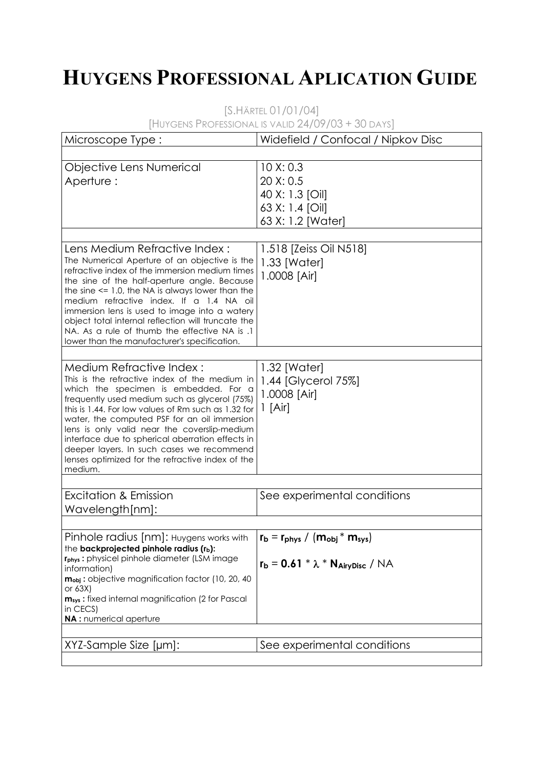# **HUYGENS PROFESSIONAL APLICATION GUIDE**

| Microscope Type:                                                                                                                                                                                                                                                                                                                                                                                                                                                                            | Widefield / Confocal / Nipkov Disc                                                   |
|---------------------------------------------------------------------------------------------------------------------------------------------------------------------------------------------------------------------------------------------------------------------------------------------------------------------------------------------------------------------------------------------------------------------------------------------------------------------------------------------|--------------------------------------------------------------------------------------|
|                                                                                                                                                                                                                                                                                                                                                                                                                                                                                             |                                                                                      |
| <b>Objective Lens Numerical</b><br>Aperture:                                                                                                                                                                                                                                                                                                                                                                                                                                                | 10 X: 0.3<br>20 X: 0.5<br>40 X: 1.3 [Oil]<br>63 X: 1.4 [Oil]<br>63 X: 1.2 [Water]    |
|                                                                                                                                                                                                                                                                                                                                                                                                                                                                                             |                                                                                      |
| Lens Medium Refractive Index:<br>The Numerical Aperture of an objective is the<br>refractive index of the immersion medium times<br>the sine of the half-aperture angle. Because<br>the sine $\le$ 1.0, the NA is always lower than the<br>medium refractive index. If a 1.4 NA oil<br>immersion lens is used to image into a watery<br>object total internal reflection will truncate the<br>NA. As a rule of thumb the effective NA is .1<br>lower than the manufacturer's specification. | 1.518 [Zeiss Oil N518]<br>1.33 [Water]<br>1.0008 [Air]                               |
|                                                                                                                                                                                                                                                                                                                                                                                                                                                                                             |                                                                                      |
| Medium Refractive Index:<br>This is the refractive index of the medium in<br>which the specimen is embedded. For a<br>frequently used medium such as glycerol (75%)<br>this is 1.44. For low values of Rm such as 1.32 for<br>water, the computed PSF for an oil immersion<br>lens is only valid near the coverslip-medium<br>interface due to spherical aberration effects in<br>deeper layers. In such cases we recommend<br>lenses optimized for the refractive index of the<br>medium.  | 1.32 [Water]<br>1.44 [Glycerol 75%]<br>1.0008 [Air]<br>$1$ [Air]                     |
|                                                                                                                                                                                                                                                                                                                                                                                                                                                                                             |                                                                                      |
| Excitation & Emission<br>Wavelength[nm]:                                                                                                                                                                                                                                                                                                                                                                                                                                                    | See experimental conditions                                                          |
|                                                                                                                                                                                                                                                                                                                                                                                                                                                                                             |                                                                                      |
| Pinhole radius [nm]: Huygens works with<br>the backprojected pinhole radius (rb):<br>r <sub>phys</sub> : physicel pinhole diameter (LSM image<br>information)<br>m <sub>obj</sub> : objective magnification factor (10, 20, 40<br>or $63X$ )<br>m <sub>sys</sub> : fixed internal magnification (2 for Pascal<br>in CECS)<br>NA: numerical aperture                                                                                                                                         | $r_b = r_{phys} / (m_{obj} * m_{sys})$<br>$r_b = 0.61 * \lambda * N_{AiryDisc} / NA$ |
|                                                                                                                                                                                                                                                                                                                                                                                                                                                                                             |                                                                                      |
| XYZ-Sample Size [µm]:                                                                                                                                                                                                                                                                                                                                                                                                                                                                       | See experimental conditions                                                          |
|                                                                                                                                                                                                                                                                                                                                                                                                                                                                                             |                                                                                      |

[S.HÄRTEL 01/01/04]

[HUYGENS PROFESSIONAL IS VALID 24/09/03 + 30 DAYS]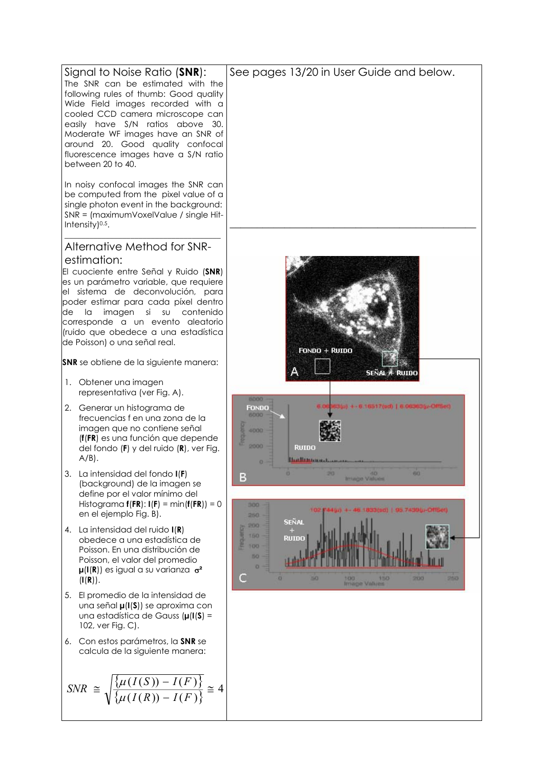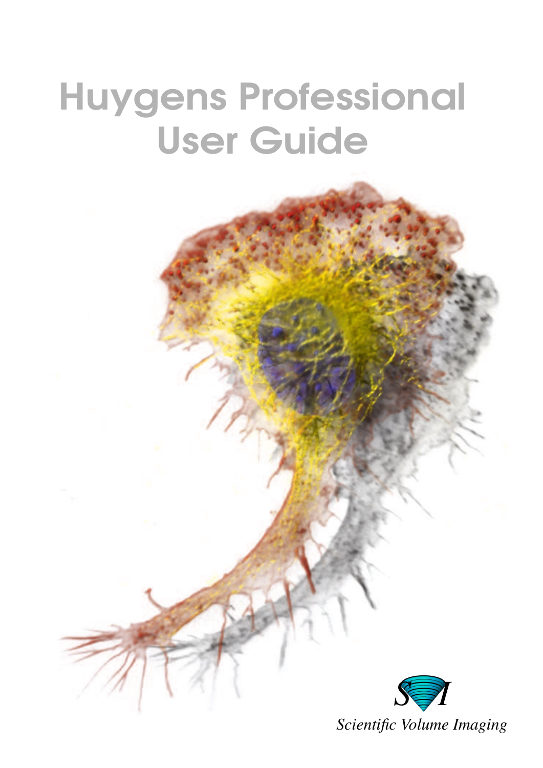# Huygens Professional User Guide

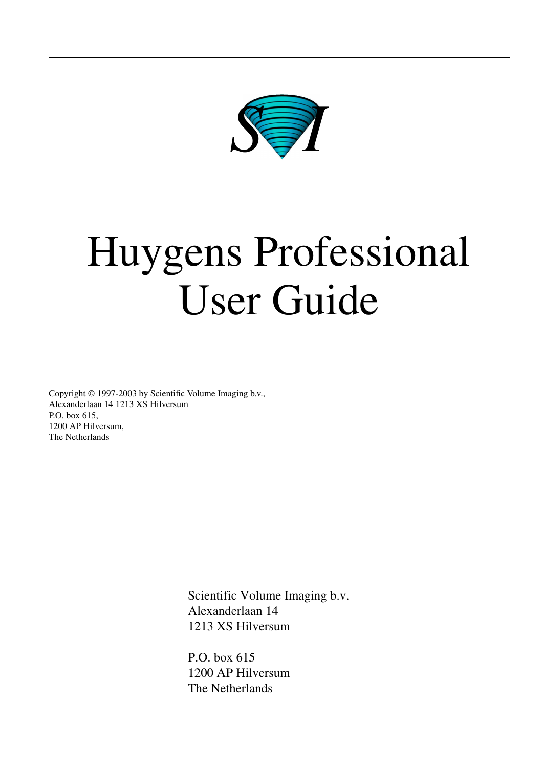

# Huygens Professional User Guide

Copyright © 1997-2003 by Scientific Volume Imaging b.v., Alexanderlaan 14 1213 XS Hilversum P.O. box 615, 1200 AP Hilversum, The Netherlands

> Scientific Volume Imaging b.v. Alexanderlaan 14 1213 XS Hilversum

P.O. box 615 1200 AP Hilversum The Netherlands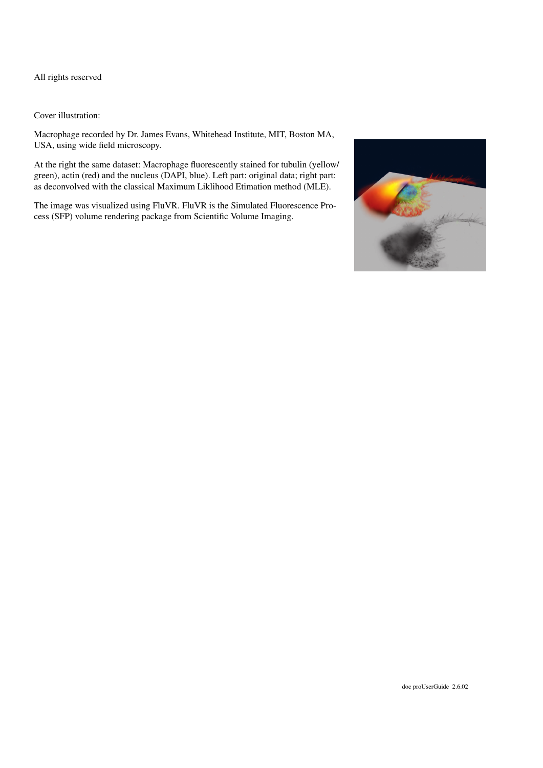All rights reserved

#### Cover illustration:

Macrophage recorded by Dr. James Evans, Whitehead Institute, MIT, Boston MA, USA, using wide field microscopy.

At the right the same dataset: Macrophage fluorescently stained for tubulin (yellow/ green), actin (red) and the nucleus (DAPI, blue). Left part: original data; right part: as deconvolved with the classical Maximum Liklihood Etimation method (MLE).

The image was visualized using FluVR. FluVR is the Simulated Fluorescence Process (SFP) volume rendering package from Scientific Volume Imaging.

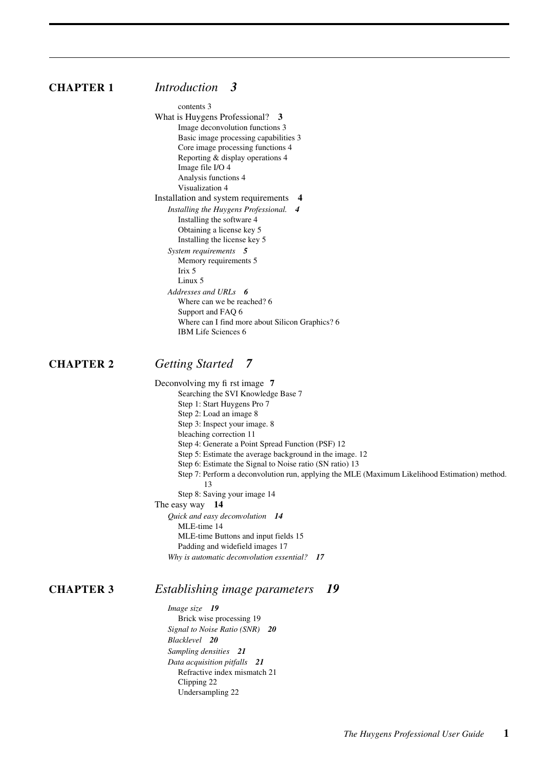#### **CHAPTER 1** *Introduction 3*

contents 3

What is Huygens Professional? **3** Image deconvolution functions 3 Basic image processing capabilities 3 Core image processing functions 4 Reporting & display operations 4 Image file I/O 4 Analysis functions 4 Visualization 4 Installation and system requirements **4** *Installing the Huygens Professional. 4* Installing the software 4 Obtaining a license key 5 Installing the license key 5 *System requirements 5* Memory requirements 5 Irix 5 Linux 5 *Addresses and URLs 6* Where can we be reached? 6 Support and FAQ 6 Where can I find more about Silicon Graphics? 6 IBM Life Sciences 6

#### **CHAPTER 2** *Getting Started 7*

Deconvolving my first image 7 Searching the SVI Knowledge Base 7 Step 1: Start Huygens Pro 7 Step 2: Load an image 8 Step 3: Inspect your image. 8 bleaching correction 11 Step 4: Generate a Point Spread Function (PSF) 12 Step 5: Estimate the average background in the image. 12 Step 6: Estimate the Signal to Noise ratio (SN ratio) 13 Step 7: Perform a deconvolution run, applying the MLE (Maximum Likelihood Estimation) method. 13 Step 8: Saving your image 14 The easy way **14** *Quick and easy deconvolution 14* MLE-time 14 MLE-time Buttons and input fields 15 Padding and widefield images 17 *Why is automatic deconvolution essential? 17*

#### **CHAPTER 3** *Establishing image parameters 19*

*Image size 19* Brick wise processing 19 *Signal to Noise Ratio (SNR) 20 Blacklevel 20 Sampling densities 21 Data acquisition pitfalls 21* Refractive index mismatch 21 Clipping 22 Undersampling 22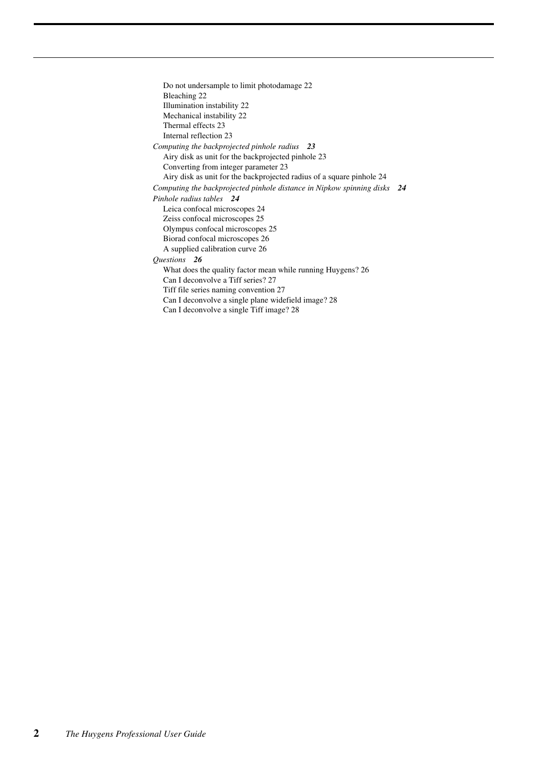Do not undersample to limit photodamage 22 Bleaching 22 Illumination instability 22 Mechanical instability 22 Thermal effects 23 Internal reflection 23 *Computing the backprojected pinhole radius 23* Airy disk as unit for the backprojected pinhole 23 Converting from integer parameter 23 Airy disk as unit for the backprojected radius of a square pinhole 24 *Computing the backprojected pinhole distance in Nipkow spinning disks 24 Pinhole radius tables 24* Leica confocal microscopes 24 Zeiss confocal microscopes 25 Olympus confocal microscopes 25 Biorad confocal microscopes 26 A supplied calibration curve 26 *Questions 26* What does the quality factor mean while running Huygens? 26 Can I deconvolve a Tiff series? 27 Tiff file series naming convention 27 Can I deconvolve a single plane widefield image? 28 Can I deconvolve a single Tiff image? 28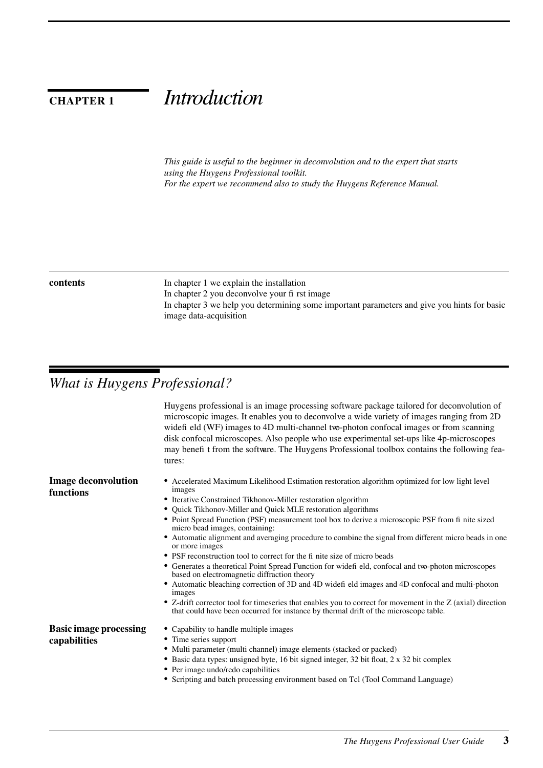# **CHAPTER 1** *Introduction*

*This guide is useful to the beginner in deconvolution and to the expert that starts using the Huygens Professional toolkit. For the expert we recommend also to study the Huygens Reference Manual.*

**contents** In chapter 1 we explain the installation In chapter 2 you deconvolve your first image In chapter 3 we help you determining some important parameters and give you hints for basic image data-acquisition

## *What is Huygens Professional?*

Huygens professional is an image processing software package tailored for deconvolution of microscopic images. It enables you to deconvolve a wide variety of images ranging from 2D widefield (WF) images to 4D multi-channel two-photon confocal images or from scanning disk confocal microscopes. Also people who use experimental set-ups like 4p-microscopes may benefit from the software. The Huygens Professional toolbox contains the following features: **Image deconvolution functions •** Accelerated Maximum Likelihood Estimation restoration algorithm optimized for low light level images **•** Iterative Constrained Tikhonov-Miller restoration algorithm **•** Quick Tikhonov-Miller and Quick MLE restoration algorithms • Point Spread Function (PSF) measurement tool box to derive a microscopic PSF from fi nite sized micro bead images, containing: **•** Automatic alignment and averaging procedure to combine the signal from different micro beads in one or more images **•** PSF reconstruction tool to correct for the finite size of micro beads Generates a theoretical Point Spread Function for widefield, confocal and two-photon microscopes based on electromagnetic diffraction theory **•** Automatic bleaching correction of 3D and 4D widefield images and 4D confocal and multi-photon images **•** Z-drift corrector tool for timeseries that enables you to correct for movement in the Z (axial) direction that could have been occurred for instance by thermal drift of the microscope table. **Basic image processing capabilities •** Capability to handle multiple images **•** Time series support **•** Multi parameter (multi channel) image elements (stacked or packed) • Basic data types: unsigned byte, 16 bit signed integer, 32 bit float, 2 x 32 bit complex **•** Per image undo/redo capabilities **•** Scripting and batch processing environment based on Tcl (Tool Command Language)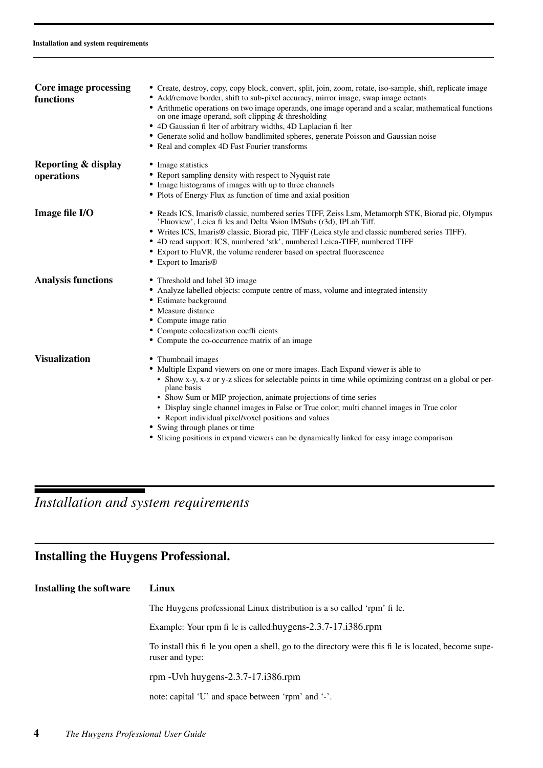#### **Installation and system requirements**

| Core image processing<br>functions | • Create, destroy, copy, copy block, convert, split, join, zoom, rotate, iso-sample, shift, replicate image<br>• Add/remove border, shift to sub-pixel accuracy, mirror image, swap image octants<br>• Arithmetic operations on two image operands, one image operand and a scalar, mathematical functions<br>on one image operand, soft clipping $\&$ thresholding<br>• 4D Gaussian fi lter of arbitrary widths, 4D Laplacian fi lter<br>• Generate solid and hollow bandlimited spheres, generate Poisson and Gaussian noise<br>• Real and complex 4D Fast Fourier transforms           |
|------------------------------------|-------------------------------------------------------------------------------------------------------------------------------------------------------------------------------------------------------------------------------------------------------------------------------------------------------------------------------------------------------------------------------------------------------------------------------------------------------------------------------------------------------------------------------------------------------------------------------------------|
| Reporting & display<br>operations  | • Image statistics<br>• Report sampling density with respect to Nyquist rate<br>• Image histograms of images with up to three channels<br>• Plots of Energy Flux as function of time and axial position                                                                                                                                                                                                                                                                                                                                                                                   |
| Image file I/O                     | • Reads ICS, Imaris® classic, numbered series TIFF, Zeiss Lsm, Metamorph STK, Biorad pic, Olympus<br>'Fluoview', Leica fi les and Delta Vsion IMSubs (r3d), IPLab Tiff.<br>• Writes ICS, Imaris® classic, Biorad pic, TIFF (Leica style and classic numbered series TIFF).<br>• 4D read support: ICS, numbered 'stk', numbered Leica-TIFF, numbered TIFF<br>• Export to FluVR, the volume renderer based on spectral fluorescence<br>• Export to Imaris <sup>®</sup>                                                                                                                      |
| <b>Analysis functions</b>          | • Threshold and label 3D image<br>• Analyze labelled objects: compute centre of mass, volume and integrated intensity<br>• Estimate background<br>• Measure distance<br>• Compute image ratio<br>• Compute colocalization coeffi cients<br>• Compute the co-occurrence matrix of an image                                                                                                                                                                                                                                                                                                 |
| <b>Visualization</b>               | • Thumbnail images<br>• Multiple Expand viewers on one or more images. Each Expand viewer is able to<br>• Show x-y, x-z or y-z slices for selectable points in time while optimizing contrast on a global or per-<br>plane basis<br>• Show Sum or MIP projection, animate projections of time series<br>• Display single channel images in False or True color; multi channel images in True color<br>• Report individual pixel/voxel positions and values<br>• Swing through planes or time<br>• Slicing positions in expand viewers can be dynamically linked for easy image comparison |

### = *Installation and system requirements*

## **Installing the Huygens Professional.**

| <b>Installing the software</b> | Linux                                                                                                                   |
|--------------------------------|-------------------------------------------------------------------------------------------------------------------------|
|                                | The Huygens professional Linux distribution is a so called 'rpm' fi le.                                                 |
|                                | Example: Your rpm fi le is called: huygens-2.3.7-17.1386.rpm                                                            |
|                                | To install this fi le you open a shell, go to the directory were this fi le is located, become supe-<br>ruser and type: |
|                                | rpm - Uvh huygens- $2.3.7$ -17.i386.rpm                                                                                 |
|                                | note: capital 'U' and space between 'rpm' and '-'.                                                                      |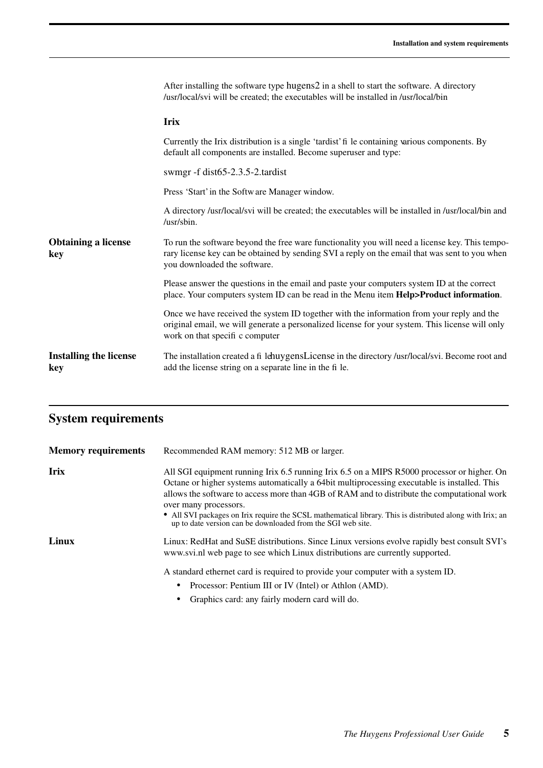|                                      | After installing the software type hugens2 in a shell to start the software. A directory<br>/usr/local/svi will be created; the executables will be installed in /usr/local/bin                                                   |
|--------------------------------------|-----------------------------------------------------------------------------------------------------------------------------------------------------------------------------------------------------------------------------------|
|                                      | <b>Irix</b>                                                                                                                                                                                                                       |
|                                      | Currently the Irix distribution is a single 'tardist' fi le containing various components. By<br>default all components are installed. Become superuser and type:                                                                 |
|                                      | swmgr -f dist65-2.3.5-2.tardist                                                                                                                                                                                                   |
|                                      | Press 'Start' in the Software Manager window.                                                                                                                                                                                     |
|                                      | A directory /usr/local/svi will be created; the executables will be installed in /usr/local/bin and<br>/usr/sbin.                                                                                                                 |
| <b>Obtaining a license</b><br>key    | To run the software beyond the free ware functionality you will need a license key. This tempo-<br>rary license key can be obtained by sending SVI a reply on the email that was sent to you when<br>you downloaded the software. |
|                                      | Please answer the questions in the email and paste your computers system ID at the correct<br>place. Your computers system ID can be read in the Menu item Help>Product information.                                              |
|                                      | Once we have received the system ID together with the information from your reply and the<br>original email, we will generate a personalized license for your system. This license will only<br>work on that specific computer    |
| <b>Installing the license</b><br>key | The installation created a fi lehuygensLicense in the directory /usr/local/svi. Become root and<br>add the license string on a separate line in the fi le.                                                                        |

# **System requirements**

| <b>Memory requirements</b> | Recommended RAM memory: 512 MB or larger.                                                                                                                                                                                                                                                                                                                                                                                                                                                       |
|----------------------------|-------------------------------------------------------------------------------------------------------------------------------------------------------------------------------------------------------------------------------------------------------------------------------------------------------------------------------------------------------------------------------------------------------------------------------------------------------------------------------------------------|
| <b>Irix</b>                | All SGI equipment running Irix 6.5 running Irix 6.5 on a MIPS R5000 processor or higher. On<br>Octane or higher systems automatically a 64bit multiprocessing executable is installed. This<br>allows the software to access more than 4GB of RAM and to distribute the computational work<br>over many processors.<br>• All SVI packages on Irix require the SCSL mathematical library. This is distributed along with Irix; an<br>up to date version can be downloaded from the SGI web site. |
| Linux                      | Linux: RedHat and SuSE distributions. Since Linux versions evolve rapidly best consult SVI's<br>www.svi.nl web page to see which Linux distributions are currently supported.                                                                                                                                                                                                                                                                                                                   |
|                            | A standard ethernet card is required to provide your computer with a system ID.<br>• Processor: Pentium III or IV (Intel) or Athlon (AMD).                                                                                                                                                                                                                                                                                                                                                      |

**•** Graphics card: any fairly modern card will do.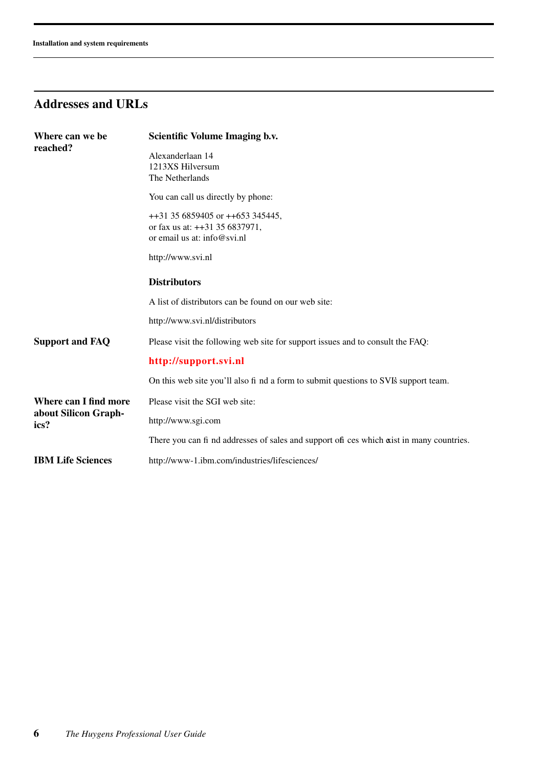## **Addresses and URLs**

| Where can we be<br>reached?  | <b>Scientific Volume Imaging b.v.</b>                                                           |  |  |
|------------------------------|-------------------------------------------------------------------------------------------------|--|--|
|                              | Alexanderlaan 14                                                                                |  |  |
|                              | 1213XS Hilversum                                                                                |  |  |
|                              | The Netherlands                                                                                 |  |  |
|                              | You can call us directly by phone:                                                              |  |  |
|                              | $+131$ 35 6859405 or $+1653$ 345445,                                                            |  |  |
|                              | or fax us at: ++31 35 6837971,                                                                  |  |  |
|                              | or email us at: info@svi.nl                                                                     |  |  |
|                              | http://www.svi.nl                                                                               |  |  |
|                              | <b>Distributors</b>                                                                             |  |  |
|                              | A list of distributors can be found on our web site:                                            |  |  |
|                              | http://www.svi.nl/distributors                                                                  |  |  |
| <b>Support and FAQ</b>       | Please visit the following web site for support issues and to consult the FAQ:                  |  |  |
|                              | http://support.svi.nl                                                                           |  |  |
|                              | On this web site you'll also fi nd a form to submit questions to SVIs support team.             |  |  |
| Where can I find more        | Please visit the SGI web site:                                                                  |  |  |
| about Silicon Graph-<br>ics? | http://www.sgi.com                                                                              |  |  |
|                              | There you can fi nd addresses of sales and support of ces which $\alpha$ ist in many countries. |  |  |
| <b>IBM Life Sciences</b>     | http://www-1.ibm.com/industries/lifesciences/                                                   |  |  |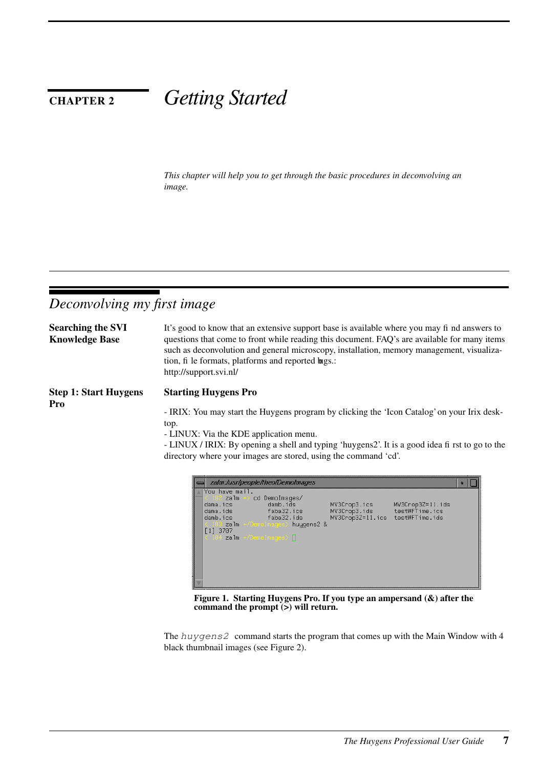**CHAPTER 2** *Getting Started*

*This chapter will help you to get through the basic procedures in deconvolving an image.*

# *Deconvolving my first image*

| <b>Searching the SVI</b><br><b>Knowledge Base</b> | It's good to know that an extensive support base is available where you may fi nd answers to<br>questions that come to front while reading this document. FAQ's are available for many items<br>such as deconvolution and general microscopy, installation, memory management, visualiza-<br>tion, fi le formats, platforms and reported bags.:<br>http://support.svi.nl/ |  |  |
|---------------------------------------------------|---------------------------------------------------------------------------------------------------------------------------------------------------------------------------------------------------------------------------------------------------------------------------------------------------------------------------------------------------------------------------|--|--|
| <b>Step 1: Start Huygens</b><br>Pro               | <b>Starting Huygens Pro</b><br>- IRIX: You may start the Huygens program by clicking the 'Icon Catalog' on your Irix desk-<br>top.<br>- LINUX: Via the KDE application menu.<br>- LINUX / IRIX: By opening a shell and typing 'huygens2'. It is a good idea fi rst to go to the<br>directory where your images are stored, using the command 'cd'.                        |  |  |

| zalm:/usr/people/theo/Demolmages                                                                                    |                                                                                      |                                                                                |                  |  |
|---------------------------------------------------------------------------------------------------------------------|--------------------------------------------------------------------------------------|--------------------------------------------------------------------------------|------------------|--|
| You have mail.<br>zalm $\rightarrow$ cd DemoImages/<br>dama.ics<br>dama.ids<br>damb.ics<br>zalm<br>[1] 3707<br>zalm | damb.ids<br>faba32.ics<br>faba32.ids<br>huyqens2 &<br>∙/DemoImaqes)<br>∘/DemoImages> | MV3Crop3.ics<br>MV3Crop3.ids testWFTime.ics<br>MV3Crop3Z=11.ics testWFTime.ids | MV3Crop3Z=11.ids |  |
|                                                                                                                     |                                                                                      |                                                                                |                  |  |

**Figure 1. Starting Huygens Pro. If you type an ampersand (&) after the** command the prompt  $(>)$  will return.

The *huygens2* command starts the program that comes up with the Main Window with 4 black thumbnail images (see Figure 2).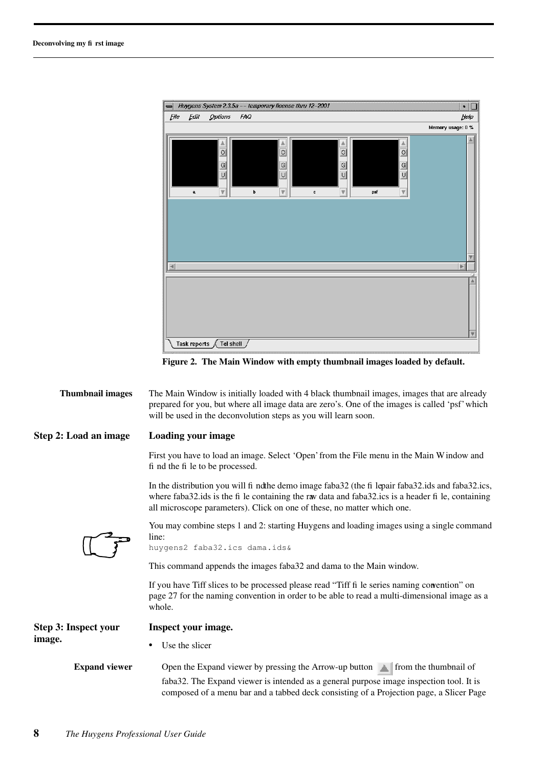|      |                     |                                                                                          |            | Huygens System 2.3.5a -- temporary license thru 12-2001                            |                                                                   |     |                                                                                    | $\Box$<br>$\bullet$ |
|------|---------------------|------------------------------------------------------------------------------------------|------------|------------------------------------------------------------------------------------|-------------------------------------------------------------------|-----|------------------------------------------------------------------------------------|---------------------|
| Eile | Edit                | Options                                                                                  | <b>FAQ</b> |                                                                                    |                                                                   |     |                                                                                    | Heip                |
|      |                     |                                                                                          |            |                                                                                    |                                                                   |     |                                                                                    | Memory usage: 0 %   |
|      | $\mathbf{a}$        | $\triangle$<br>$\overline{\Omega}$<br>$\boxed{\underline{G}}$<br>$\overline{\mathbf{v}}$ | b          | Ŀ<br>$\overline{\circ}$<br>$\boxed{\underline{G}}$<br>$\overline{\mathbf{v}}$<br>c | Δ<br>$\overline{\circ}$<br>$rac{G}{U}$<br>$\overline{\mathbb{V}}$ | psf | $\Delta$<br>$\boxed{\circ}$<br>$\frac{a}{\overline{a}}$<br>$\overline{\mathbf{v}}$ | A                   |
|      |                     |                                                                                          |            |                                                                                    |                                                                   |     |                                                                                    |                     |
| 國    |                     |                                                                                          |            |                                                                                    |                                                                   |     |                                                                                    | $\mathbb{R}$        |
|      |                     |                                                                                          |            |                                                                                    |                                                                   |     |                                                                                    | □<br>À              |
|      |                     |                                                                                          |            |                                                                                    |                                                                   |     |                                                                                    |                     |
|      | <b>Task reports</b> | Tcl shell                                                                                |            |                                                                                    |                                                                   |     |                                                                                    |                     |

**Figure 2. The Main Window with empty thumbnail images loaded by default.**

|                       | prepared for you, but where all image data are zero's. One of the images is called 'psf' which<br>will be used in the deconvolution steps as you will learn soon.                                                                                                                  |
|-----------------------|------------------------------------------------------------------------------------------------------------------------------------------------------------------------------------------------------------------------------------------------------------------------------------|
| Step 2: Load an image | Loading your image                                                                                                                                                                                                                                                                 |
|                       | First you have to load an image. Select 'Open' from the File menu in the Main W indow and<br>fi nd the fi le to be processed.                                                                                                                                                      |
|                       | In the distribution you will fi ndthe demo image faba32 (the fi lepair faba32.ids and faba32.ics,<br>where faba32.ids is the fi le containing the ray data and faba32.ics is a header fi le, containing<br>all microscope parameters). Click on one of these, no matter which one. |
|                       | You may combine steps 1 and 2: starting Huygens and loading images using a single command<br>line:<br>huygens2 faba32.ics dama.ids&                                                                                                                                                |
|                       | This command appends the images faba32 and dama to the Main window.                                                                                                                                                                                                                |
|                       | If you have Tiff slices to be processed please read "Tiff fi le series naming convention" on<br>page 27 for the naming convention in order to be able to read a multi-dimensional image as a<br>whole.                                                                             |
| Step 3: Inspect your  | Inspect your image.                                                                                                                                                                                                                                                                |
| image.                | Use the slicer<br>٠                                                                                                                                                                                                                                                                |
| <b>Expand viewer</b>  | Open the Expand viewer by pressing the Arrow-up button <b>Act 1</b> from the thumbnail of<br>faba32. The Expand viewer is intended as a general purpose image inspection tool. It is<br>composed of a menu bar and a tabbed deck consisting of a Projection page, a Slicer Page    |

**Thumbnail images** The Main Window is initially loaded with 4 black thumbnail images, images that are already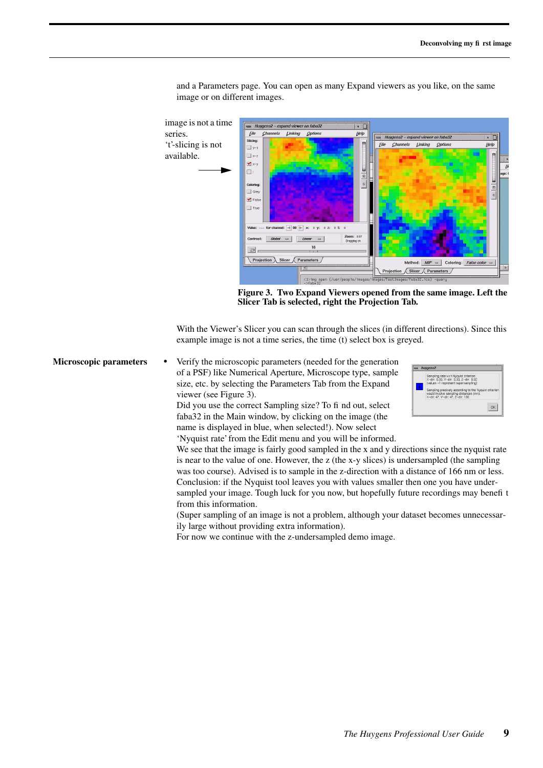and a Parameters page. You can open as many Expand viewers as you like, on the same image or on different images.



**Figure 3. Two Expand Viewers opened from the same image. Left the Slicer Tab is selected, right the Projection Tab.**

With the Viewer's Slicer you can scan through the slices (in different directions). Since this example image is not a time series, the time (t) select box is greyed.

**Microscopic parameters** • Verify the microscopic parameters (needed for the generation of a PSF) like Numerical Aperture, Microscope type, sample size, etc. by selecting the Parameters Tab from the Expand viewer (see Figure 3).

Did you use the correct Sampling size? To fi nd out, select faba32 in the Main window, by clicking on the image (the name is displayed in blue, when selected!). Now select

 $\boxed{\alpha K}$ 

'Nyquist rate' from the Edit menu and you will be informed.

We see that the image is fairly good sampled in the x and y directions since the nyquist rate is near to the value of one. However, the z (the x-y slices) is undersampled (the sampling was too course). Advised is to sample in the z-direction with a distance of 166 nm or less. Conclusion: if the Nyquist tool leaves you with values smaller then one you have undersampled your image. Tough luck for you now, but hopefully future recordings may benefit

from this information. (Super sampling of an image is not a problem, although your dataset becomes unnecessarily large without providing extra information).

For now we continue with the z-undersampled demo image.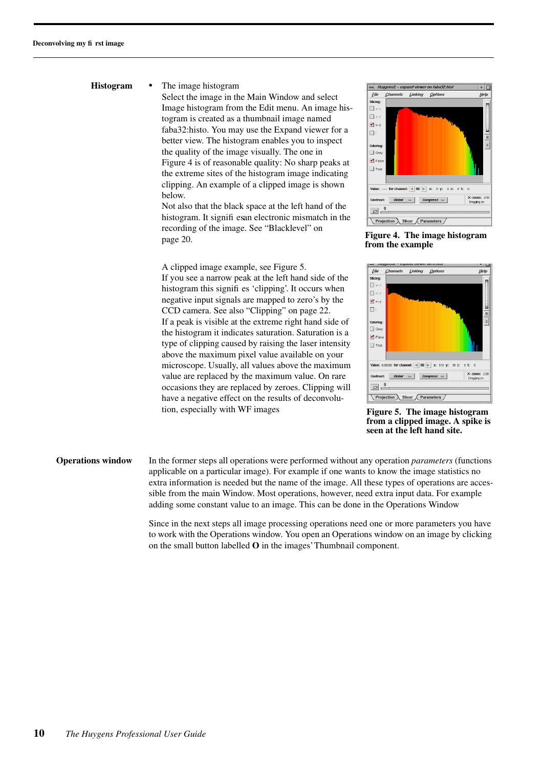#### **Histogram •** The image histogram

Select the image in the Main Window and select Image histogram from the Edit menu. An image histogram is created as a thumbnail image named faba32:histo. You may use the Expand viewer for a better view. The histogram enables you to inspect the quality of the image visually. The one in Figure 4 is of reasonable quality: No sharp peaks at the extreme sites of the histogram image indicating clipping. An example of a clipped image is shown below.

Not also that the black space at the left hand of the histogram. It signifies an electronic mismatch in the recording of the image. See "Blacklevel" on page 20.

A clipped image example, see Figure 5. If you see a narrow peak at the left hand side of the histogram this signifies 'clipping'. It occurs when negative input signals are mapped to zero's by the CCD camera. See also "Clipping" on page 22. If a peak is visible at the extreme right hand side of the histogram it indicates saturation. Saturation is a type of clipping caused by raising the laser intensity above the maximum pixel value available on your microscope. Usually, all values above the maximum value are replaced by the maximum value. On rare occasions they are replaced by zeroes. Clipping will have a negative effect on the results of deconvolution, especially with WF images



**Figure 4. The image histogram from the example**



**Figure 5. The image histogram from a clipped image. A spike is seen at the left hand site.**

**Operations window** In the former steps all operations were performed without any operation *parameters* (functions applicable on a particular image). For example if one wants to know the image statistics no extra information is needed but the name of the image. All these types of operations are accessible from the main Window. Most operations, however, need extra input data. For example adding some constant value to an image. This can be done in the Operations Window

> Since in the next steps all image processing operations need one or more parameters you have to work with the Operations window. You open an Operations window on an image by clicking on the small button labelled **O** in the images' Thumbnail component.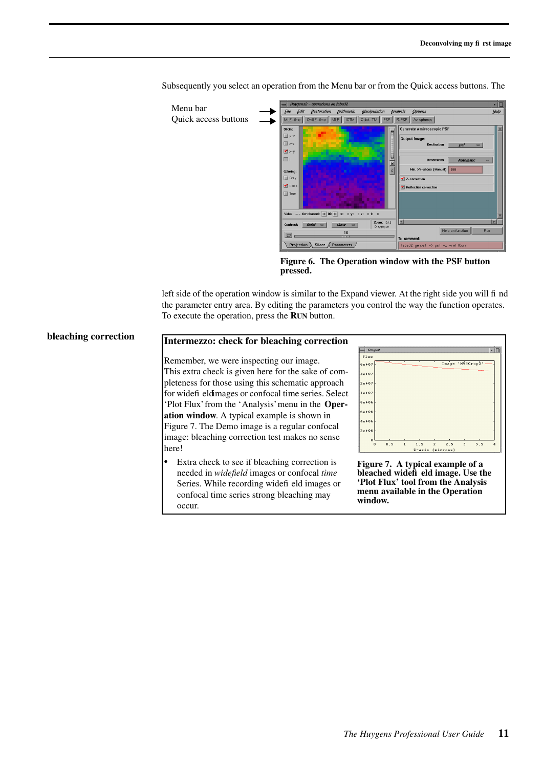

Subsequently you select an operation from the Menu bar or from the Quick access buttons. The

**Figure 6. The Operation window with the PSF button pressed.**

left side of the operation window is similar to the Expand viewer. At the right side you will find the parameter entry area. By editing the parameters you control the way the function operates. To execute the operation, press the **RUN** button.

#### **bleaching correction Intermezzo: check for bleaching correction**  $\overline{\phantom{a}}$   $\overline{a}$  $_{\rm{Flu}}$ Remember, we were inspecting our image. MV3Crop  $6e+0$ This extra check is given here for the sake of com- $4e+0$ pleteness for those using this schematic approach  $2e+07$ for widefieldimages or confocal time series. Select  $1e+07$  $8e+0$ 'Plot Flux' from the 'Analysis' menu in the **Oper-** $6e + 06$ **ation window**. A typical example is shown in  $4e + 06$ Figure 7. The Demo image is a regular confocal  $2e+06$ image: bleaching correction test makes no sense  $1.5$  $2.5$  $3.5$  $0.5$ here! Extra check to see if bleaching correction is **Figure 7. A typical example of a** needed in *widefield* images or confocal *time* bleached widefield image. Use the Series. While recording widefield images or **'Plot Flux' tool from the Analysis menu available in the Operation** confocal time series strong bleaching may **window.**occur.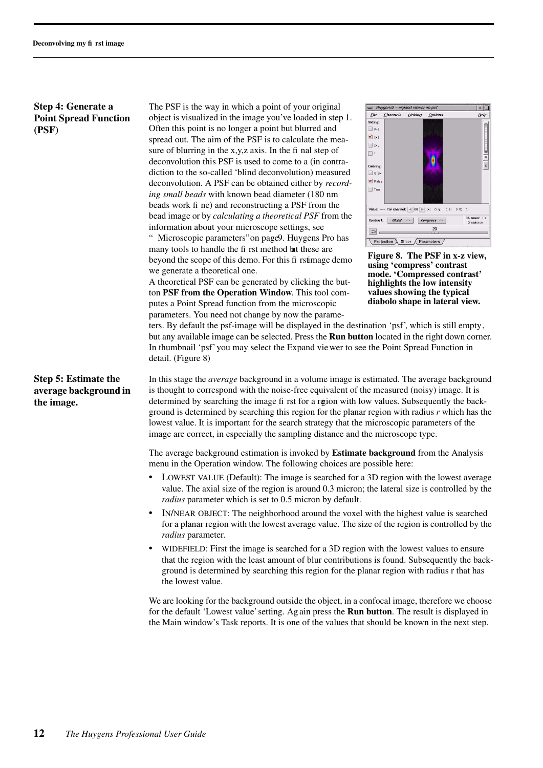#### **Step 4: Generate a Point Spread Function (PSF)**

The PSF is the way in which a point of your original object is visualized in the image you've loaded in step 1. Often this point is no longer a point but blurred and spread out. The aim of the PSF is to calculate the measure of blurring in the x,y,z axis. In the final step of deconvolution this PSF is used to come to a (in contradiction to the so-called 'blind deconvolution) measured deconvolution. A PSF can be obtained either by *recording small beads* with known bead diameter (180 nm beads work fine) and reconstructing a PSF from the bead image or by *calculating a theoretical PSF* from the information about your microscope settings, see "Microscopic parameters" on page9. Huygens Pro has many tools to handle the first method but these are beyond the scope of this demo. For this first image demowe generate a theoretical one.

A theoretical PSF can be generated by clicking the button **PSF from the Operation Window**. This tool computes a Point Spread function from the microscopic parameters. You need not change by now the parame-



**Figure 8. The PSF in x-z view, using 'compress' contrast mode. 'Compressed contrast' highlights the low intensity values showing the typical diabolo shape in lateral view.**

ters. By default the psf-image will be displayed in the destination 'psf', which is still empty, but any available image can be selected. Press the **Run button** located in the right down corner. In thumbnail 'psf' you may select the Expand viewer to see the Point Spread Function in detail. (Figure 8)

In this stage the *average* background in a volume image is estimated. The average background is thought to correspond with the noise-free equivalent of the measured (noisy) image. It is determined by searching the image first for a region with low values. Subsequently the background is determined by searching this region for the planar region with radius *r* which has the lowest value. It is important for the search strategy that the microscopic parameters of the image are correct, in especially the sampling distance and the microscope type.

The average background estimation is invoked by **Estimate background** from the Analysis menu in the Operation window. The following choices are possible here:

- **•** LOWEST VALUE (Default): The image is searched for a 3D region with the lowest average value. The axial size of the region is around 0.3 micron; the lateral size is controlled by the *radius* parameter which is set to 0.5 micron by default.
- **•** IN/NEAR OBJECT: The neighborhood around the voxel with the highest value is searched for a planar region with the lowest average value. The size of the region is controlled by the *radius* parameter.
- **•** WIDEFIELD: First the image is searched for a 3D region with the lowest values to ensure that the region with the least amount of blur contributions is found. Subsequently the background is determined by searching this region for the planar region with radius r that has the lowest value.

We are looking for the background outside the object, in a confocal image, therefore we choose for the default 'Lowest value' setting. Ag ain press the **Run button**. The result is displayed in the Main window's Task reports. It is one of the values that should be known in the next step.

## **Step 5: Estimate the average background in the image.**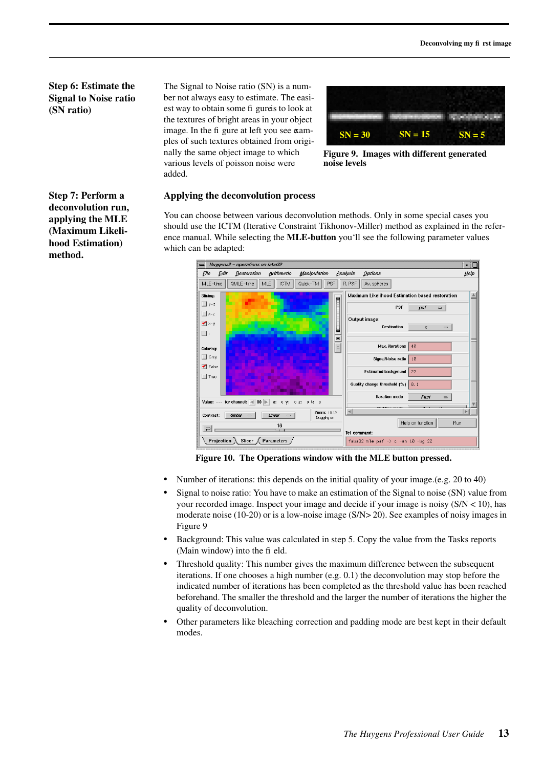#### **Step 6: Estimate the Signal to Noise ratio (SN ratio)**

The Signal to Noise ratio (SN) is a number not always easy to estimate. The easiest way to obtain some figureis to look at the textures of bright areas in your object image. In the figure at left you see  $\alpha$ amples of such textures obtained from originally the same object image to which various levels of poisson noise were added.



**Figure 9. Images with different generated noise levels**

#### **Applying the deconvolution process**

You can choose between various deconvolution methods. Only in some special cases you should use the ICTM (Iterative Constraint Tikhonov-Miller) method as explained in the reference manual. While selecting the **MLE-button** you'll see the following parameter values which can be adapted:



**Figure 10. The Operations window with the MLE button pressed.**

- **•** Number of iterations: this depends on the initial quality of your image.(e.g. 20 to 40)
- **•** Signal to noise ratio: You have to make an estimation of the Signal to noise (SN) value from your recorded image. Inspect your image and decide if your image is noisy  $(S/N < 10)$ , has moderate noise (10-20) or is a low-noise image (S/N> 20). See examples of noisy images in Figure 9
- **•** Background: This value was calculated in step 5. Copy the value from the Tasks reports (Main window) into the fi eld.
- **•** Threshold quality: This number gives the maximum difference between the subsequent iterations. If one chooses a high number (e.g.  $0.1$ ) the deconvolution may stop before the indicated number of iterations has been completed as the threshold value has been reached beforehand. The smaller the threshold and the larger the number of iterations the higher the quality of deconvolution.
- **•** Other parameters like bleaching correction and padding mode are best kept in their default modes.

**Step 7: Perform a deconvolution run, applying the MLE (Maximum Likelihood Estimation) method.**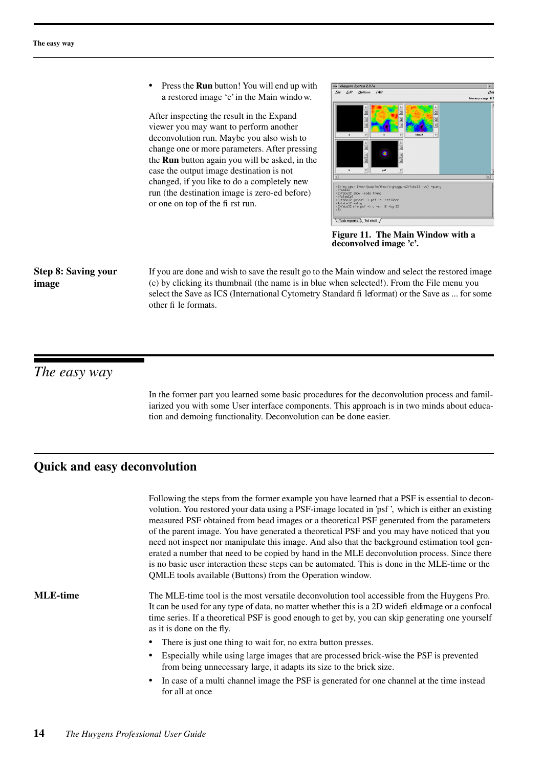**•** Press the **Run**button! You will end up with a restored image 'c' in the Main window.

After inspecting the result in the Expand viewer you may want to perform another deconvolution run. Maybe you also wish to change one or more parameters. After pressing the **Run** button again you will be asked, in the case the output image destination is not changed, if you like to do a completely new run (the destination image is zero-ed before) or one on top of the first run.



**Figure 11. The Main Window with a deconvolved image 'c'.**

#### **Step 8: Saving your image**

If you are done and wish to save the result go to the Main window and select the restored image (c) by clicking its thumbnail (the name is in blue when selected!). From the File menu you select the Save as ICS (International Cytometry Standard fileformat) or the Save as ... for some other file formats.

## *The easy way*

In the former part you learned some basic procedures for the deconvolution process and familiarized you with some User interface components. This approach is in two minds about education and demoing functionality. Deconvolution can be done easier.

### **Quick and easy deconvolution**

|                 | Following the steps from the former example you have learned that a PSF is essential to decon-<br>volution. You restored your data using a PSF-image located in 'psf', which is either an existing<br>measured PSF obtained from bead images or a theoretical PSF generated from the parameters<br>of the parent image. You have generated a theoretical PSF and you may have noticed that you<br>need not inspect nor manipulate this image. And also that the background estimation tool gen-<br>erated a number that need to be copied by hand in the MLE deconvolution process. Since there<br>is no basic user interaction these steps can be automated. This is done in the MLE-time or the<br>QMLE tools available (Buttons) from the Operation window. |
|-----------------|----------------------------------------------------------------------------------------------------------------------------------------------------------------------------------------------------------------------------------------------------------------------------------------------------------------------------------------------------------------------------------------------------------------------------------------------------------------------------------------------------------------------------------------------------------------------------------------------------------------------------------------------------------------------------------------------------------------------------------------------------------------|
| <b>MLE-time</b> | The MLE-time tool is the most versatile deconvolution tool accessible from the Huygens Pro.<br>It can be used for any type of data, no matter whether this is a 2D widefi eldimage or a confocal<br>time series. If a theoretical PSF is good enough to get by, you can skip generating one yourself<br>as it is done on the fly.                                                                                                                                                                                                                                                                                                                                                                                                                              |
|                 | There is just one thing to wait for, no extra button presses.                                                                                                                                                                                                                                                                                                                                                                                                                                                                                                                                                                                                                                                                                                  |
|                 | Especially while using large images that are processed brick-wise the PSF is prevented<br>from being unnecessary large, it adapts its size to the brick size.                                                                                                                                                                                                                                                                                                                                                                                                                                                                                                                                                                                                  |
|                 | In case of a multi channel image the PSF is generated for one channel at the time instead<br>for all at once                                                                                                                                                                                                                                                                                                                                                                                                                                                                                                                                                                                                                                                   |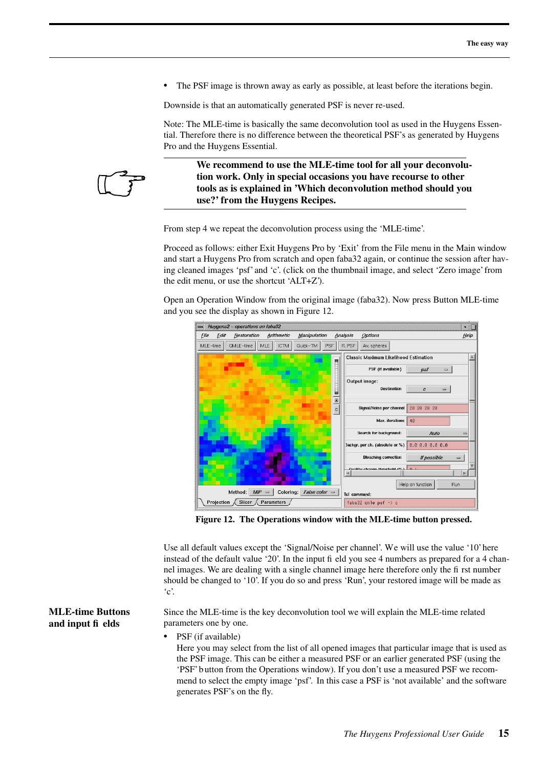**•** The PSF image is thrown away as early as possible, at least before the iterations begin.

Downside is that an automatically generated PSF is never re-used.

Note: The MLE-time is basically the same deconvolution tool as used in the Huygens Essential. Therefore there is no difference between the theoretical PSF's as generated by Huygens Pro and the Huygens Essential.



**We recommend to use the MLE-time tool for all your deconvolution work. Only in special occasions you have recourse to other tools as is explained in 'Which deconvolution method should you use?' from the Huygens Recipes.**

From step 4 we repeat the deconvolution process using the 'MLE-time'.

Proceed as follows: either Exit Huygens Pro by 'Exit' from the File menu in the Main window and start a Huygens Pro from scratch and open faba32 again, or continue the session after having cleaned images 'psf' and 'c'. (click on the thumbnail image, and select 'Zero image' from the edit menu, or use the shortcut 'ALT+Z').

Open an Operation Window from the original image (faba32). Now press Button MLE-time and you see the display as shown in Figure 12.



**Figure 12. The Operations window with the MLE-time button pressed.**

Use all default values except the 'Signal/Noise per channel'. We will use the value '10' here instead of the default value '20'. In the input field you see 4 numbers as prepared for a 4 channel images. We are dealing with a single channel image here therefore only the first number should be changed to '10'. If you do so and press 'Run', your restored image will be made as  $\cdot c$ .

Since the MLE-time is the key deconvolution tool we will explain the MLE-time related parameters one by one.

**•** PSF (if available)

Here you may select from the list of all opened images that particular image that is used as the PSF image. This can be either a measured PSF or an earlier generated PSF (using the 'PSF' b utton from the Operations window). If you don't use a measured PSF we recommend to select the empty image 'psf'. In this case a PSF is 'not available' and the software generates PSF's on the fly.

**MLE-time Buttons** and input fields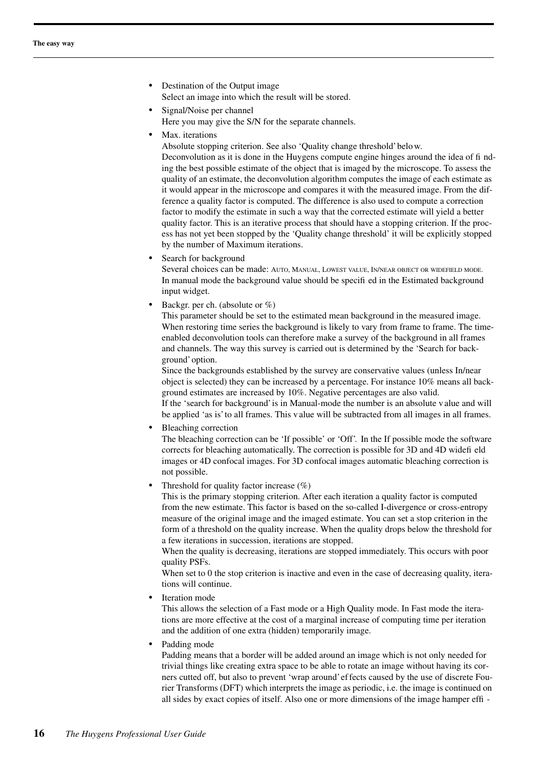- **•** Destination of the Output image Select an image into which the result will be stored.
- **•** Signal/Noise per channel Here you may give the S/N for the separate channels.
- **•** Max. iterations

Absolute stopping criterion. See also 'Quality change threshold' below. Deconvolution as it is done in the Huygens compute engine hinges around the idea of finding the best possible estimate of the object that is imaged by the microscope. To assess the quality of an estimate, the deconvolution algorithm computes the image of each estimate as it would appear in the microscope and compares it with the measured image. From the difference a quality factor is computed. The difference is also used to compute a correction factor to modify the estimate in such a way that the corrected estimate will yield a better quality factor. This is an iterative process that should have a stopping criterion. If the process has not yet been stopped by the 'Quality change threshold' it will be explicitly stopped by the number of Maximum iterations.

**•** Search for background

Several choices can be made: AUTO, MANUAL, LOWEST VALUE, IN/NEAR OBJECT OR WIDEFIELD MODE. In manual mode the background value should be specified in the Estimated background input widget.

**•** Backgr. per ch. (absolute or %)

This parameter should be set to the estimated mean background in the measured image. When restoring time series the background is likely to vary from frame to frame. The timeenabled deconvolution tools can therefore make a survey of the background in all frames and channels. The way this survey is carried out is determined by the 'Search for background' option.

Since the backgrounds established by the survey are conservative values (unless In/near object is selected) they can be increased by a percentage. For instance 10% means all background estimates are increased by 10%. Negative percentages are also valid. If the 'search for background' is in Manual-mode the number is an absolute v alue and will be applied 'as is' to all frames. This v alue will be subtracted from all images in all frames.

**•** Bleaching correction

The bleaching correction can be 'If possible' or 'Off'. In the If possible mode the software corrects for bleaching automatically. The correction is possible for 3D and 4D widefield images or 4D confocal images. For 3D confocal images automatic bleaching correction is not possible.

**•** Threshold for quality factor increase (%)

This is the primary stopping criterion. After each iteration a quality factor is computed from the new estimate. This factor is based on the so-called I-divergence or cross-entropy measure of the original image and the imaged estimate. You can set a stop criterion in the form of a threshold on the quality increase. When the quality drops below the threshold for a few iterations in succession, iterations are stopped.

When the quality is decreasing, iterations are stopped immediately. This occurs with poor quality PSFs.

When set to 0 the stop criterion is inactive and even in the case of decreasing quality, iterations will continue.

**•** Iteration mode

This allows the selection of a Fast mode or a High Quality mode. In Fast mode the iterations are more effective at the cost of a marginal increase of computing time per iteration and the addition of one extra (hidden) temporarily image.

**•** Padding mode

Padding means that a border will be added around an image which is not only needed for trivial things like creating extra space to be able to rotate an image without having its corners cutted off, but also to prevent 'wrap around' effects caused by the use of discrete Fourier Transforms (DFT) which interprets the image as periodic, i.e. the image is continued on all sides by exact copies of itself. Also one or more dimensions of the image hamper effi-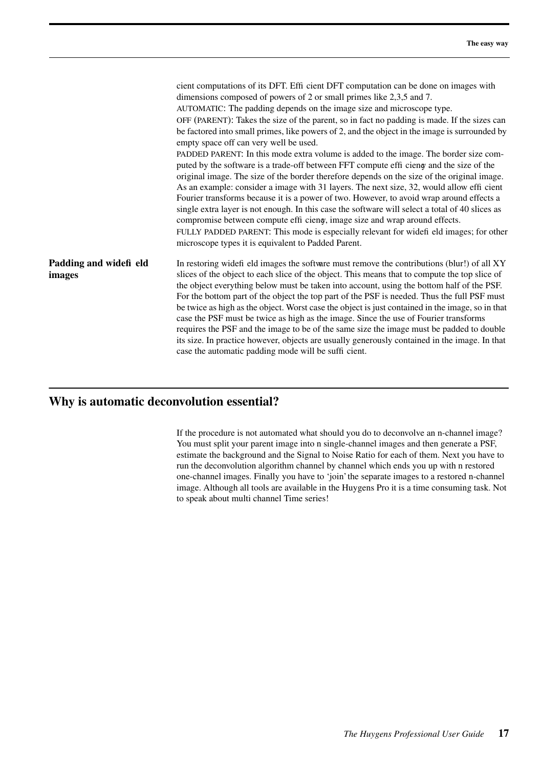|                                  | cient computations of its DFT. Effi cient DFT computation can be done on images with<br>dimensions composed of powers of 2 or small primes like 2,3,5 and 7.<br>AUTOMATIC: The padding depends on the image size and microscope type.<br>OFF (PARENT): Takes the size of the parent, so in fact no padding is made. If the sizes can<br>be factored into small primes, like powers of 2, and the object in the image is surrounded by<br>empty space off can very well be used.<br>PADDED PARENT: In this mode extra volume is added to the image. The border size com-<br>puted by the software is a trade-off between FFT compute efficiency and the size of the<br>original image. The size of the border therefore depends on the size of the original image.<br>As an example: consider a image with 31 layers. The next size, 32, would allow efficient<br>Fourier transforms because it is a power of two. However, to avoid wrap around effects a<br>single extra layer is not enough. In this case the software will select a total of 40 slices as<br>compromise between compute efficieng, image size and wrap around effects.<br>FULLY PADDED PARENT: This mode is especially relevant for widefi eld images; for other |
|----------------------------------|-------------------------------------------------------------------------------------------------------------------------------------------------------------------------------------------------------------------------------------------------------------------------------------------------------------------------------------------------------------------------------------------------------------------------------------------------------------------------------------------------------------------------------------------------------------------------------------------------------------------------------------------------------------------------------------------------------------------------------------------------------------------------------------------------------------------------------------------------------------------------------------------------------------------------------------------------------------------------------------------------------------------------------------------------------------------------------------------------------------------------------------------------------------------------------------------------------------------------------------|
| Padding and widefi eld<br>images | microscope types it is equivalent to Padded Parent.<br>In restoring widefi eld images the software must remove the contributions (blur!) of all XY<br>slices of the object to each slice of the object. This means that to compute the top slice of<br>the object everything below must be taken into account, using the bottom half of the PSF.<br>For the bottom part of the object the top part of the PSF is needed. Thus the full PSF must<br>be twice as high as the object. Worst case the object is just contained in the image, so in that<br>case the PSF must be twice as high as the image. Since the use of Fourier transforms<br>requires the PSF and the image to be of the same size the image must be padded to double<br>its size. In practice however, objects are usually generously contained in the image. In that<br>case the automatic padding mode will be sufficient.                                                                                                                                                                                                                                                                                                                                     |

## **Why is automatic deconvolution essential?**

If the procedure is not automated what should you do to deconvolve an n-channel image? You must split your parent image into n single-channel images and then generate a PSF, estimate the background and the Signal to Noise Ratio for each of them. Next you have to run the deconvolution algorithm channel by channel which ends you up with n restored one-channel images. Finally you have to 'join' the separate images to a restored n-channel image. Although all tools are available in the Huygens Pro it is a time consuming task. Not to speak about multi channel Time series!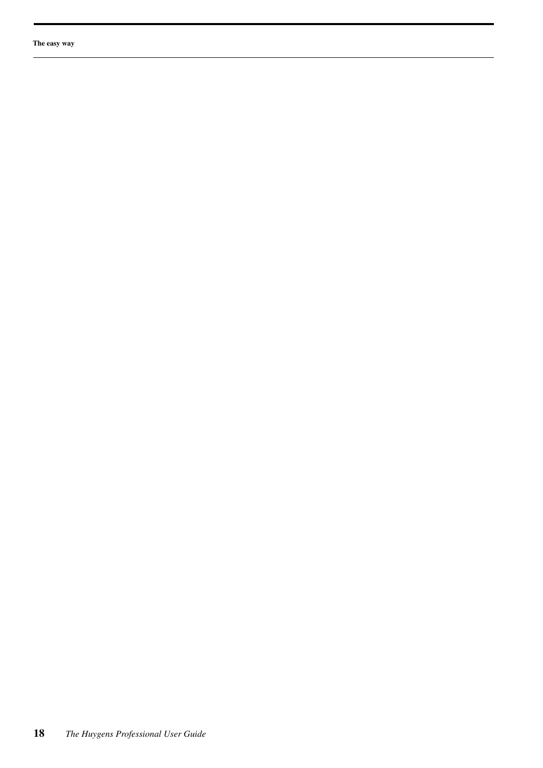**The easy way**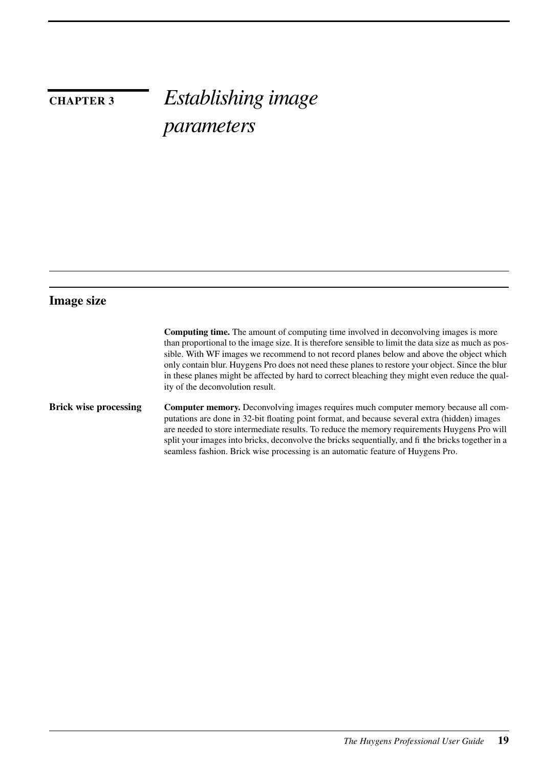# **CHAPTER 3** *Establishing image parameters*

| <b>Image size</b>            |                                                                                                                                                                                                                                                                                                                                                                                                                                                                                                                                            |
|------------------------------|--------------------------------------------------------------------------------------------------------------------------------------------------------------------------------------------------------------------------------------------------------------------------------------------------------------------------------------------------------------------------------------------------------------------------------------------------------------------------------------------------------------------------------------------|
|                              | <b>Computing time.</b> The amount of computing time involved in deconvolving images is more<br>than proportional to the image size. It is therefore sensible to limit the data size as much as pos-<br>sible. With WF images we recommend to not record planes below and above the object which<br>only contain blur. Huygens Pro does not need these planes to restore your object. Since the blur<br>in these planes might be affected by hard to correct bleaching they might even reduce the qual-<br>ity of the deconvolution result. |
| <b>Brick wise processing</b> | <b>Computer memory.</b> Deconvolving images requires much computer memory because all com-<br>putations are done in 32-bit floating point format, and because several extra (hidden) images<br>are needed to store intermediate results. To reduce the memory requirements Huygens Pro will<br>split your images into bricks, deconvolve the bricks sequentially, and fi the bricks together in a<br>seamless fashion. Brick wise processing is an automatic feature of Huygens Pro.                                                       |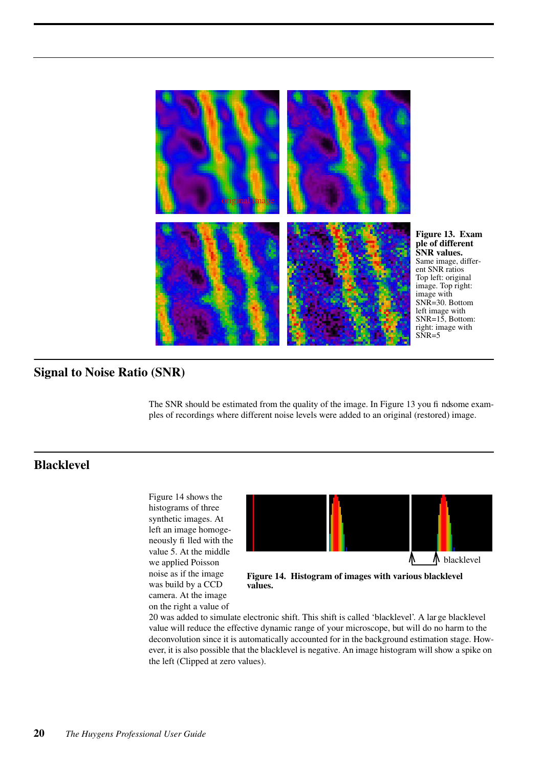

**Figure 13. Exam ple of different SNR values.** Same image, different SNR ratios Top left: original image. Top right: image with SNR=30. Bottom left image with SNR=15, Bottom: right: image with  $SNR=5$ 

#### **Signal to Noise Ratio (SNR)**

The SNR should be estimated from the quality of the image. In Figure 13 you findsome examples of recordings where different noise levels were added to an original (restored) image.

## **Blacklevel**

Figure 14 shows the histograms of three synthetic images. At left an image homogeneously filled with the value 5. At the middle we applied Poisson noise as if the image was build by a CCD camera. At the image on the right a value of



**Figure 14. Histogram of images with various blacklevel values.**

20 was added to simulate electronic shift. This shift is called 'blacklevel'. A lar ge blacklevel value will reduce the effective dynamic range of your microscope, but will do no harm to the deconvolution since it is automatically accounted for in the background estimation stage. However, it is also possible that the blacklevel is negative. An image histogram will show a spike on the left (Clipped at zero values).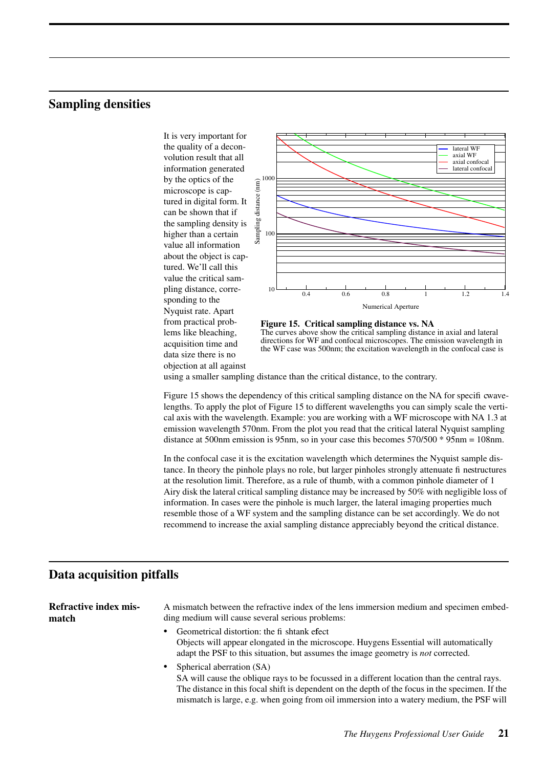#### **Sampling densities**



using a smaller sampling distance than the critical distance, to the contrary.

Figure 15 shows the dependency of this critical sampling distance on the NA for specific wavelengths. To apply the plot of Figure 15 to different wavelengths you can simply scale the vertical axis with the wavelength. Example: you are working with a WF microscope with NA 1.3 at emission wavelength 570nm. From the plot you read that the critical lateral Nyquist sampling distance at 500nm emission is 95nm, so in your case this becomes 570/500 \* 95nm = 108nm.

In the confocal case it is the excitation wavelength which determines the Nyquist sample distance. In theory the pinhole plays no role, but larger pinholes strongly attenuate finestructures at the resolution limit. Therefore, as a rule of thumb, with a common pinhole diameter of 1 Airy disk the lateral critical sampling distance may be increased by 50% with negligible loss of information. In cases were the pinhole is much larger, the lateral imaging properties much resemble those of a WF system and the sampling distance can be set accordingly. We do not recommend to increase the axial sampling distance appreciably beyond the critical distance.

#### **Data acquisition pitfalls**

**Refractive index mismatch**

A mismatch between the refractive index of the lens immersion medium and specimen embedding medium will cause several serious problems:

- Geometrical distortion: the fi shtank efect Objects will appear elongated in the microscope. Huygens Essential will automatically adapt the PSF to this situation, but assumes the image geometry is *not* corrected.
- **•** Spherical aberration (SA) SA will cause the oblique rays to be focussed in a different location than the central rays. The distance in this focal shift is dependent on the depth of the focus in the specimen. If the mismatch is large, e.g. when going from oil immersion into a watery medium, the PSF will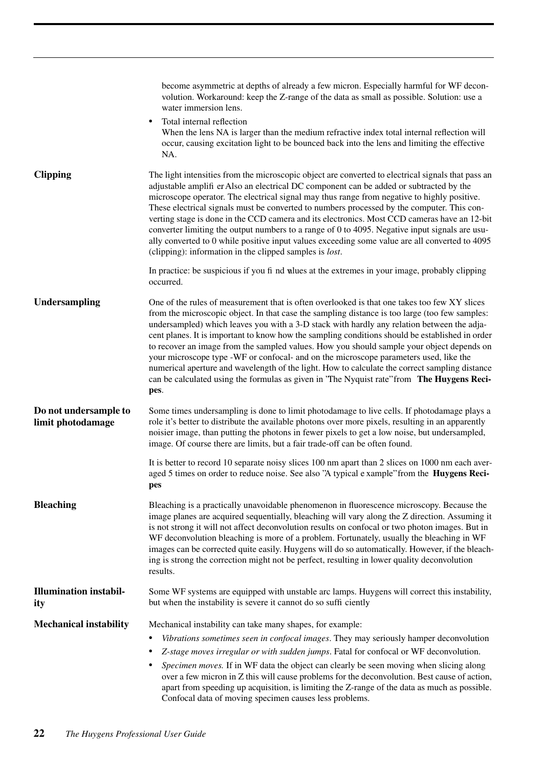|                                            | become asymmetric at depths of already a few micron. Especially harmful for WF decon-<br>volution. Workaround: keep the Z-range of the data as small as possible. Solution: use a<br>water immersion lens.                                                                                                                                                                                                                                                                                                                                                                                                                                                                                                                                                                                     |
|--------------------------------------------|------------------------------------------------------------------------------------------------------------------------------------------------------------------------------------------------------------------------------------------------------------------------------------------------------------------------------------------------------------------------------------------------------------------------------------------------------------------------------------------------------------------------------------------------------------------------------------------------------------------------------------------------------------------------------------------------------------------------------------------------------------------------------------------------|
|                                            | Total internal reflection<br>$\bullet$<br>When the lens NA is larger than the medium refractive index total internal reflection will<br>occur, causing excitation light to be bounced back into the lens and limiting the effective<br>NA.                                                                                                                                                                                                                                                                                                                                                                                                                                                                                                                                                     |
| <b>Clipping</b>                            | The light intensities from the microscopic object are converted to electrical signals that pass an<br>adjustable amplifi er Also an electrical DC component can be added or subtracted by the<br>microscope operator. The electrical signal may thus range from negative to highly positive.<br>These electrical signals must be converted to numbers processed by the computer. This con-<br>verting stage is done in the CCD camera and its electronics. Most CCD cameras have an 12-bit<br>converter limiting the output numbers to a range of 0 to 4095. Negative input signals are usu-<br>ally converted to 0 while positive input values exceeding some value are all converted to 4095<br>(clipping): information in the clipped samples is <i>lost</i> .                              |
|                                            | In practice: be suspicious if you fi nd values at the extremes in your image, probably clipping<br>occurred.                                                                                                                                                                                                                                                                                                                                                                                                                                                                                                                                                                                                                                                                                   |
| <b>Undersampling</b>                       | One of the rules of measurement that is often overlooked is that one takes too few XY slices<br>from the microscopic object. In that case the sampling distance is too large (too few samples:<br>undersampled) which leaves you with a 3-D stack with hardly any relation between the adja-<br>cent planes. It is important to know how the sampling conditions should be established in order<br>to recover an image from the sampled values. How you should sample your object depends on<br>your microscope type -WF or confocal- and on the microscope parameters used, like the<br>numerical aperture and wavelength of the light. How to calculate the correct sampling distance<br>can be calculated using the formulas as given in 'The Nyquist rate'' from The Huygens Reci-<br>pes. |
| Do not undersample to<br>limit photodamage | Some times undersampling is done to limit photodamage to live cells. If photodamage plays a<br>role it's better to distribute the available photons over more pixels, resulting in an apparently<br>noisier image, than putting the photons in fewer pixels to get a low noise, but undersampled,<br>image. Of course there are limits, but a fair trade-off can be often found.                                                                                                                                                                                                                                                                                                                                                                                                               |
|                                            | It is better to record 10 separate noisy slices 100 nm apart than 2 slices on 1000 nm each aver-<br>aged 5 times on order to reduce noise. See also "A typical e xample" from the <b>Huygens Reci-</b><br>pes                                                                                                                                                                                                                                                                                                                                                                                                                                                                                                                                                                                  |
| <b>Bleaching</b>                           | Bleaching is a practically unavoidable phenomenon in fluorescence microscopy. Because the<br>image planes are acquired sequentially, bleaching will vary along the Z direction. Assuming it<br>is not strong it will not affect deconvolution results on confocal or two photon images. But in<br>WF deconvolution bleaching is more of a problem. Fortunately, usually the bleaching in WF<br>images can be corrected quite easily. Huygens will do so automatically. However, if the bleach-<br>ing is strong the correction might not be perfect, resulting in lower quality deconvolution<br>results.                                                                                                                                                                                      |
| <b>Illumination instabil-</b><br>ity       | Some WF systems are equipped with unstable arc lamps. Huygens will correct this instability,<br>but when the instability is severe it cannot do so suffi ciently                                                                                                                                                                                                                                                                                                                                                                                                                                                                                                                                                                                                                               |
| <b>Mechanical instability</b>              | Mechanical instability can take many shapes, for example:                                                                                                                                                                                                                                                                                                                                                                                                                                                                                                                                                                                                                                                                                                                                      |
|                                            | Vibrations sometimes seen in confocal images. They may seriously hamper deconvolution                                                                                                                                                                                                                                                                                                                                                                                                                                                                                                                                                                                                                                                                                                          |
|                                            | Z-stage moves irregular or with sudden jumps. Fatal for confocal or WF deconvolution.                                                                                                                                                                                                                                                                                                                                                                                                                                                                                                                                                                                                                                                                                                          |
|                                            | Specimen moves. If in WF data the object can clearly be seen moving when slicing along<br>over a few micron in Z this will cause problems for the deconvolution. Best cause of action,<br>apart from speeding up acquisition, is limiting the Z-range of the data as much as possible.<br>Confocal data of moving specimen causes less problems.                                                                                                                                                                                                                                                                                                                                                                                                                                               |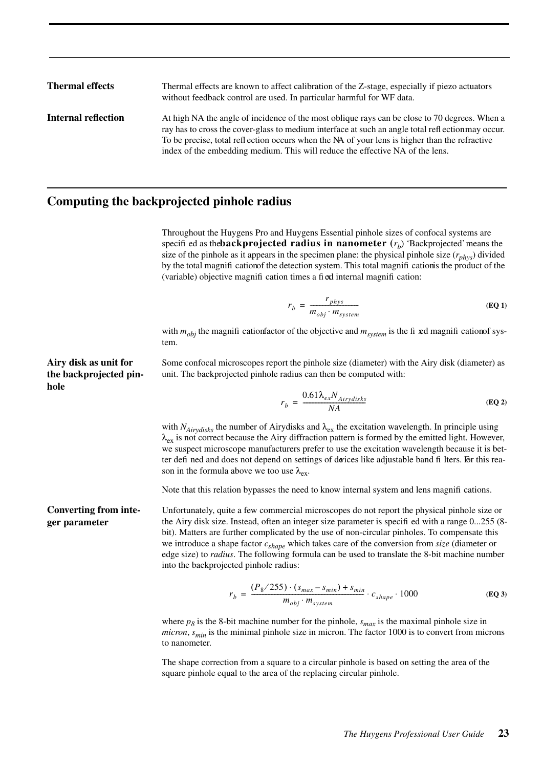**Thermal effects** Thermal effects are known to affect calibration of the Z-stage, especially if piezo actuators without feedback control are used. In particular harmful for WF data. **Internal reflection** At high NA the angle of incidence of the most oblique rays can be close to 70 degrees. When a ray has to cross the cover-glass to medium interface at such an angle total reflectionmay occur. To be precise, total reflection occurs when the NA of your lens is higher than the refractive index of the embedding medium. This will reduce the effective NA of the lens.

#### **Computing the backprojected pinhole radius**

Throughout the Huygens Pro and Huygens Essential pinhole sizes of confocal systems are specified as the  $\mathbf{backprojected}$  radius in nanometer  $(r_b)$  'Backprojected' means the size of the pinhole as it appears in the specimen plane: the physical pinhole size (*rphys*) divided by the total magnificationof the detection system. This total magnificationis the product of the (variable) objective magnification times a fied internal magnification:

$$
r_b = \frac{r_{phys}}{m_{obj} \cdot m_{system}}
$$
 (EQ1)

with  $m_{obj}$  the magnification factor of the objective and  $m_{system}$  is the fixed magnification of system.

**Airy disk as unit for the backprojected pinhole**

Some confocal microscopes report the pinhole size (diameter) with the Airy disk (diameter) as unit. The backprojected pinhole radius can then be computed with:

$$
r_b = \frac{0.61 \lambda_{ex} N_{Airy disks}}{NA}
$$
 (EQ2)

with  $N_{Airydisks}$  the number of Airydisks and  $\lambda_{ex}$  the excitation wavelength. In principle using  $\lambda_{\rm ex}$  is not correct because the Airy diffraction pattern is formed by the emitted light. However, we suspect microscope manufacturers prefer to use the excitation wavelength because it is better defined and does not depend on settings of devices like adjustable band filters. For this reason in the formula above we too use  $\lambda_{\rm ex}$ .

Note that this relation bypasses the need to know internal system and lens magnifications.

**Converting from integer parameter** Unfortunately, quite a few commercial microscopes do not report the physical pinhole size or the Airy disk size. Instead, often an integer size parameter is specified with a range 0...255 (8 bit). Matters are further complicated by the use of non-circular pinholes. To compensate this we introduce a shape factor *cshape* which takes care of the conversion from *size* (diameter or edge size) to *radius*. The following formula can be used to translate the 8-bit machine number into the backprojected pinhole radius:

$$
r_b = \frac{(P_8/255) \cdot (s_{max} - s_{min}) + s_{min}}{m_{obj} \cdot m_{system}} \cdot c_{shape} \cdot 1000 \tag{Eq 3}
$$

where  $p_8$  is the 8-bit machine number for the pinhole,  $s_{max}$  is the maximal pinhole size in *micron*, *smin* is the minimal pinhole size in micron. The factor 1000 is to convert from microns to nanometer.

The shape correction from a square to a circular pinhole is based on setting the area of the square pinhole equal to the area of the replacing circular pinhole.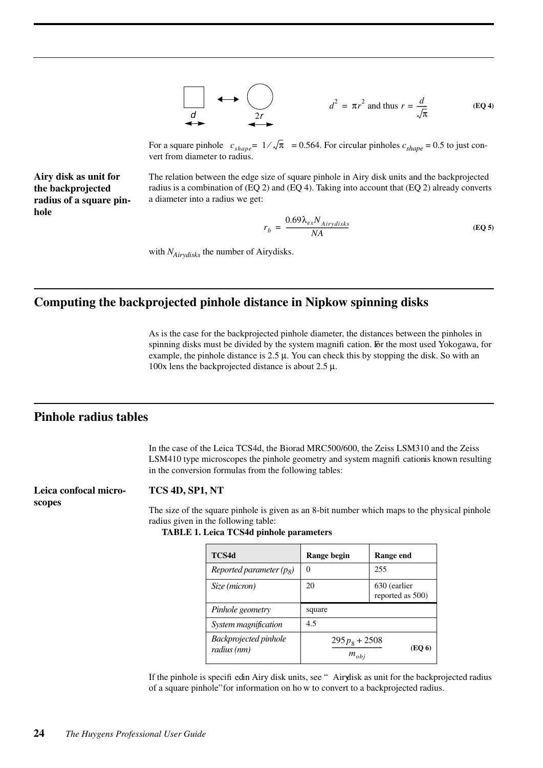$$
d = \pi r^2 \text{ and thus } r = \frac{d}{\sqrt{\pi}}
$$
 (EQ4)

For a square pinhole  $c_{shape} = 1/\sqrt{\pi} = 0.564$ . For circular pinholes  $c_{shape} = 0.5$  to just convert from diameter to radius.

**Airy disk as unit for the backprojected radius of a square pinhole**

The relation between the edge size of square pinhole in Airy disk units and the backprojected radius is a combination of  $(EQ 2)$  and  $(EQ 4)$ . Taking into account that  $(EQ 2)$  already converts a diameter into a radius we get:

$$
r_b = \frac{0.69 \lambda_{ex} N_{Airy disks}}{NA}
$$
 (EQ5)

with *NAirydisks* the number of Airydisks.

#### **Computing the backprojected pinhole distance in Nipkow spinning disks**

As is the case for the backprojected pinhole diameter, the distances between the pinholes in spinning disks must be divided by the system magnification. For the most used Yokogawa, for example, the pinhole distance is 2.5 µ. You can check this by stopping the disk. So with an 100x lens the backprojected distance is about 2.5  $\mu$ .

## **Pinhole radius tables**

In the case of the Leica TCS4d, the Biorad MRC500/600, the Zeiss LSM310 and the Zeiss LSM410 type microscopes the pinhole geometry and system magnificationis known resulting in the conversion formulas from the following tables:

**Leica confocal microscopes**

#### **TCS 4D, SP1, NT**

The size of the square pinhole is given as an 8-bit number which maps to the physical pinhole radius given in the following table:

**TABLE 1. Leica TCS4d pinhole parameters**

| <b>TCS4d</b>                                | Range begin                  | Range end                        |
|---------------------------------------------|------------------------------|----------------------------------|
| Reported parameter $(p_8)$                  | $\theta$                     | 255                              |
| Size (micron)                               | 20                           | 630 (earlier<br>reported as 500) |
| Pinhole geometry                            | square                       |                                  |
| System magnification                        | 4.5                          |                                  |
| <b>Backprojected pinhole</b><br>radius (nm) | $295p_8 + 2508$<br>$m_{obj}$ | (EO 6)                           |

If the pinhole is specifiedin Airy disk units, see "Airydisk as unit for the backprojected radius of a square pinhole" for information on ho w to convert to a backprojected radius.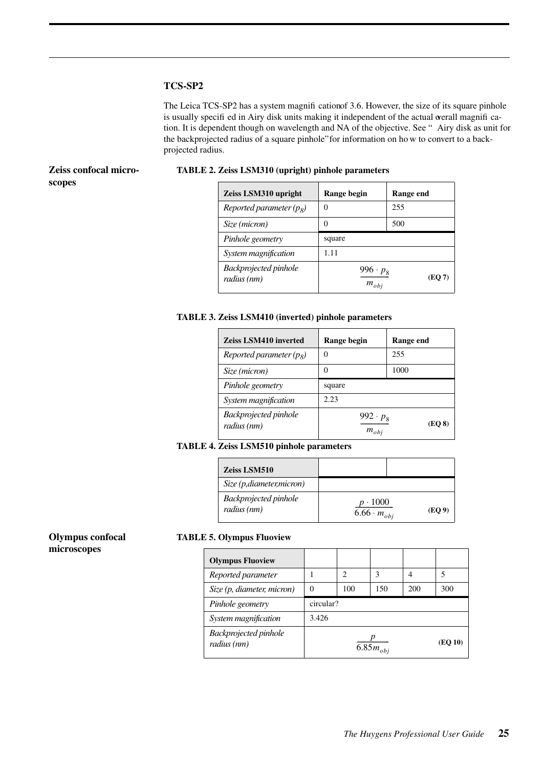#### **TCS-SP2**

The Leica TCS-SP2 has a system magnification of 3.6. However, the size of its square pinhole is usually specified in Airy disk units making it independent of the actual overall magnification. It is dependent though on wavelength and NA of the objective. See "Airy disk as unit for the backprojected radius of a square pinhole" for information on ho w to convert to a backprojected radius.

#### **Zeiss confocal microscopes**

#### **TABLE 2. Zeiss LSM310 (upright) pinhole parameters**

| Zeiss LSM310 upright                        | Range begin                  | Range end |
|---------------------------------------------|------------------------------|-----------|
| Reported parameter $(p_8)$                  | $\left( \right)$             | 255       |
| Size (micron)                               | 0                            | 500       |
| Pinhole geometry                            | square                       |           |
| System magnification                        | 1.11                         |           |
| <b>Backprojected pinhole</b><br>radius (nm) | 996 $\cdot p_8$<br>$m_{obj}$ | (EQ 7)    |

#### **TABLE 3. Zeiss LSM410 (inverted) pinhole parameters**

| <b>Zeiss LSM410 inverted</b>                | Range begin              | Range end |
|---------------------------------------------|--------------------------|-----------|
| Reported parameter $(p_8)$                  | 0                        | 255       |
| Size (micron)                               | $\theta$                 | 1000      |
| Pinhole geometry                            | square                   |           |
| System magnification                        | 2.23                     |           |
| <b>Backprojected pinhole</b><br>radius (nm) | 992 · $p_8$<br>$m_{obj}$ | (EQ 8)    |

#### **TABLE 4. Zeiss LSM510 pinhole parameters**

| Zeiss LSM510                                |                                        |        |
|---------------------------------------------|----------------------------------------|--------|
| Size (p, diameter, micron)                  |                                        |        |
| <b>Backprojected pinhole</b><br>radius (nm) | $p \cdot 1000$<br>$6.66 \cdot m_{obj}$ | (EO 9) |

#### **Olympus confocal microscopes**

#### **TABLE 5. Olympus Fluoview**

| <b>Olympus Fluoview</b>              |           |     |                |     |         |
|--------------------------------------|-----------|-----|----------------|-----|---------|
| Reported parameter                   |           | 2   | 3              | 4   | 5       |
| Size (p, diameter, micron)           | 0         | 100 | 150            | 200 | 300     |
| Pinhole geometry                     | circular? |     |                |     |         |
| System magnification                 | 3.426     |     |                |     |         |
| Backprojected pinhole<br>radius (nm) |           |     | $6.85 m_{obj}$ |     | (EO 10) |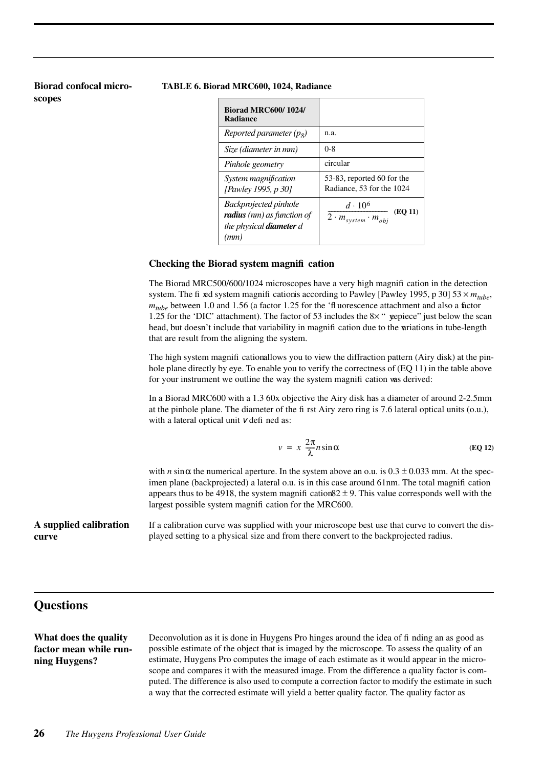#### **Biorad confocal microscopes**

| <b>Biorad MRC600/1024/</b><br>Radiance                                                                      |                                                                 |
|-------------------------------------------------------------------------------------------------------------|-----------------------------------------------------------------|
| Reported parameter $(p_8)$                                                                                  | n.a.                                                            |
| Size (diameter in mm)                                                                                       | $0 - 8$                                                         |
| Pinhole geometry                                                                                            | circular                                                        |
| System magnification<br>[Pawley 1995, p 30]                                                                 | 53-83, reported 60 for the<br>Radiance, 53 for the 1024         |
| <b>Backprojected pinhole</b><br><b>radius</b> (nm) as function of<br>the physical <b>diameter</b> d<br>(mm) | $d \cdot 10^6$<br>(EQ 11)<br>$2 \cdot m_{system} \cdot m_{obj}$ |

#### **TABLE 6. Biorad MRC600, 1024, Radiance**

#### **Checking the Biorad system magnification**

The Biorad MRC500/600/1024 microscopes have a very high magnification in the detection system. The fixed system magnificationis according to Pawley [Pawley 1995, p 30]  $53 \times m_{tube}$ ,  $m_{tube}$  between 1.0 and 1.56 (a factor 1.25 for the 'fluorescence attachment and also a factor 1.25 for the 'DIC' attachment). The factor of 53 includes the  $8\times$  "expiece" just below the scan head, but doesn't include that variability in magnification due to the variations in tube-length that are result from the aligning the system.

The high system magnificationallows you to view the diffraction pattern (Airy disk) at the pinhole plane directly by eye. To enable you to verify the correctness of (EQ 11) in the table above for your instrument we outline the way the system magnification was derived:

In a Biorad MRC600 with a 1.3 60x objective the Airy disk has a diameter of around 2-2.5mm at the pinhole plane. The diameter of the first Airy zero ring is 7.6 lateral optical units (o.u.), with a lateral optical unit  $v$  defined as:

$$
v = x \frac{2\pi}{\lambda} n \sin \alpha
$$
 (EQ12)

with *n* sin $\alpha$  the numerical aperture. In the system above an o.u. is 0.3  $\pm$  0.033 mm. At the specimen plane (backprojected) a lateral o.u. is in this case around 61nm. The total magnification appears thus to be 4918, the system magnification  $82 \pm 9$ . This value corresponds well with the largest possible system magnification for the MRC600.

**A supplied calibration curve**

If a calibration curve was supplied with your microscope best use that curve to convert the displayed setting to a physical size and from there convert to the backprojected radius.

### **Questions**

#### **What does the quality factor mean while running Huygens?**

Deconvolution as it is done in Huygens Pro hinges around the idea of finding an as good as possible estimate of the object that is imaged by the microscope. To assess the quality of an estimate, Huygens Pro computes the image of each estimate as it would appear in the microscope and compares it with the measured image. From the difference a quality factor is computed. The difference is also used to compute a correction factor to modify the estimate in such a way that the corrected estimate will yield a better quality factor. The quality factor as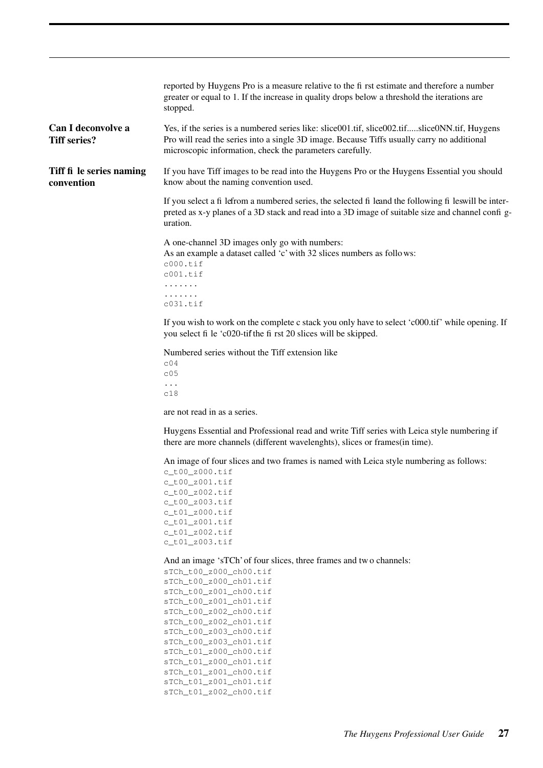|                                           | reported by Huygens Pro is a measure relative to the fi rst estimate and therefore a number<br>greater or equal to 1. If the increase in quality drops below a threshold the iterations are<br>stopped.                                                                                                                                                                                                              |
|-------------------------------------------|----------------------------------------------------------------------------------------------------------------------------------------------------------------------------------------------------------------------------------------------------------------------------------------------------------------------------------------------------------------------------------------------------------------------|
| Can I deconvolve a<br><b>Tiff series?</b> | Yes, if the series is a numbered series like: slice001.tif, slice002.tifslice0NN.tif, Huygens<br>Pro will read the series into a single 3D image. Because Tiffs usually carry no additional<br>microscopic information, check the parameters carefully.                                                                                                                                                              |
| Tiff file series naming<br>convention     | If you have Tiff images to be read into the Huygens Pro or the Huygens Essential you should<br>know about the naming convention used.                                                                                                                                                                                                                                                                                |
|                                           | If you select a fi lefrom a numbered series, the selected fi leand the following fi leswill be inter-<br>preted as x-y planes of a 3D stack and read into a 3D image of suitable size and channel confi g-<br>uration.                                                                                                                                                                                               |
|                                           | A one-channel 3D images only go with numbers:<br>As an example a dataset called 'c' with 32 slices numbers as follows:<br>c000.tif<br>c001.tif<br>.<br>.<br>c031.tif                                                                                                                                                                                                                                                 |
|                                           | If you wish to work on the complete c stack you only have to select 'c000.tif' while opening. If<br>you select fi le 'c020-tif the fi rst 20 slices will be skipped.                                                                                                                                                                                                                                                 |
|                                           | Numbered series without the Tiff extension like<br>C <sub>04</sub><br>c05<br>.<br>c18                                                                                                                                                                                                                                                                                                                                |
|                                           | are not read in as a series.                                                                                                                                                                                                                                                                                                                                                                                         |
|                                           | Huygens Essential and Professional read and write Tiff series with Leica style numbering if<br>there are more channels (different wavelenghts), slices or frames(in time).                                                                                                                                                                                                                                           |
|                                           | An image of four slices and two frames is named with Leica style numbering as follows:<br>c_t00_z000.tif<br>c_t00_z001.tif<br>c_t00_z002.tif<br>c_t00_z003.tif<br>c_t01_z000.tif<br>$c_t01_z001.tif$<br>c_t01_z002.tif<br>c_t01_z003.tif                                                                                                                                                                             |
|                                           | And an image 'sTCh' of four slices, three frames and two channels:<br>sTCh_t00_z000_ch00.tif<br>sTCh_t00_z000_ch01.tif<br>sTCh_t00_z001_ch00.tif<br>sTCh_t00_z001_ch01.tif<br>sTCh_t00_z002_ch00.tif<br>sTCh_t00_z002_ch01.tif<br>sTCh_t00_z003_ch00.tif<br>sTCh_t00_z003_ch01.tif<br>sTCh_t01_z000_ch00.tif<br>sTCh_t01_z000_ch01.tif<br>sTCh_t01_z001_ch00.tif<br>sTCh_t01_z001_ch01.tif<br>sTCh_t01_z002_ch00.tif |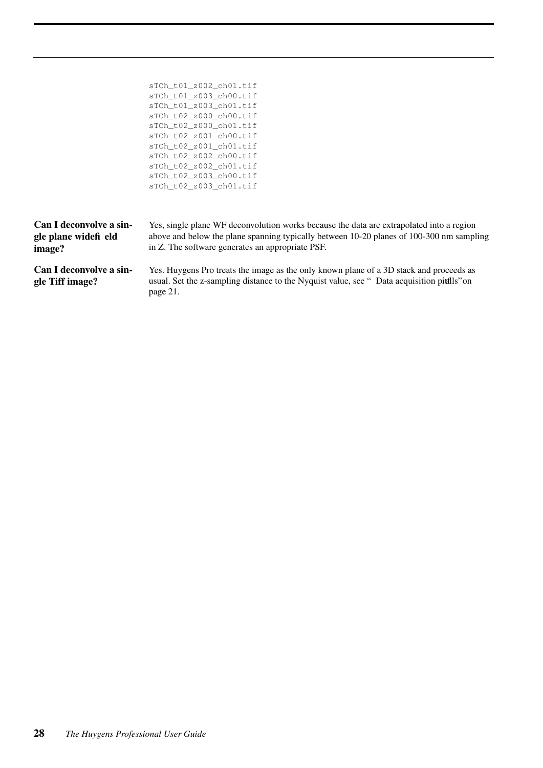|                                                           | sTCh_t01_z002_ch01.tif<br>sTCh t01 z003 ch00.tif<br>sTCh_t01_z003_ch01.tif<br>sTCh_t02_z000_ch00.tif<br>sTCh_t02_z000_ch01.tif<br>sTCh_t02_z001_ch00.tif<br>sTCh_t02_z001_ch01.tif<br>sTCh t02 z002 ch00.tif<br>sTCh_t02_z002_ch01.tif<br>sTCh_t02_z003_ch00.tif<br>sTCh_t02_z003_ch01.tif |
|-----------------------------------------------------------|--------------------------------------------------------------------------------------------------------------------------------------------------------------------------------------------------------------------------------------------------------------------------------------------|
| Can I deconvolve a sin-<br>gle plane widefi eld<br>image? | Yes, single plane WF deconvolution works because the data are extrapolated into a region<br>above and below the plane spanning typically between 10-20 planes of 100-300 nm sampling<br>in Z. The software generates an appropriate PSF.                                                   |
| Can I deconvolve a sin-<br>gle Tiff image?                | Yes. Huygens Pro treats the image as the only known plane of a 3D stack and proceeds as<br>usual. Set the z-sampling distance to the Nyquist value, see "Data acquisition pitflls" on<br>page 21.                                                                                          |